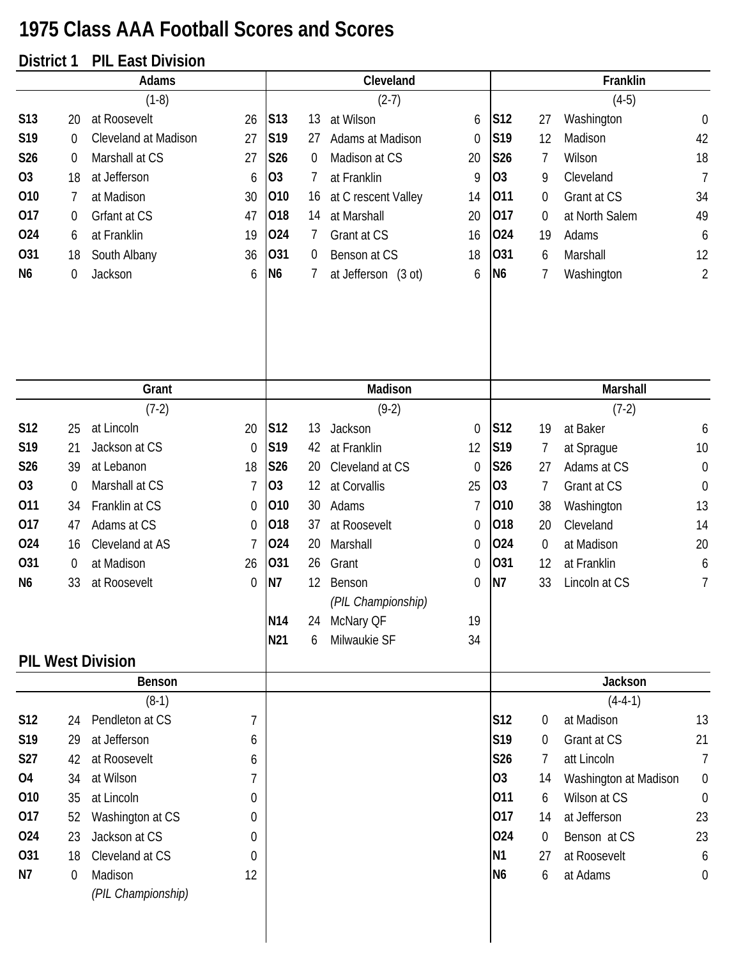## **1975 Class AAA Football Scores and Scores**

## **District 1 PIL East Division**

| Adams          |                  |                               |                | Cleveland       |    |                     |                | Franklin        |                  |                       |                  |
|----------------|------------------|-------------------------------|----------------|-----------------|----|---------------------|----------------|-----------------|------------------|-----------------------|------------------|
|                |                  | $(1-8)$                       |                |                 |    | $(2-7)$             |                |                 |                  | $(4-5)$               |                  |
| S13            | 20               | at Roosevelt                  | 26             | <b>S13</b>      | 13 | at Wilson           | 6              | S12             | 27               | Washington            | $\mathbf 0$      |
| S19            | 0                | Cleveland at Madison          | 27             | S19             | 27 | Adams at Madison    | $\mathbf 0$    | S19             | 12               | Madison               | 42               |
| S26            | $\boldsymbol{0}$ | Marshall at CS                | 27             | <b>S26</b>      | 0  | Madison at CS       | 20             | S26             | 7                | Wilson                | 18               |
| 03             | 18               | at Jefferson                  | 6              | 03              | 7  | at Franklin         | 9              | O <sub>3</sub>  | 9                | Cleveland             | $\overline{1}$   |
| 010            | 7                | at Madison                    | 30             | 010             | 16 | at C rescent Valley | 14             | 011             | $\boldsymbol{0}$ | Grant at CS           | 34               |
| 017            | 0                | Grfant at CS                  | 47             | 018             | 14 | at Marshall         | 20             | 017             | $\overline{0}$   | at North Salem        | 49               |
| 024            | 6                | at Franklin                   | 19             | 024             | 7  | Grant at CS         | 16             | 024             | 19               | Adams                 | 6                |
| 031            | 18               | South Albany                  | 36             | 031             | 0  | Benson at CS        | 18             | 031             | 6                | Marshall              | 12               |
| N <sub>6</sub> | 0                | Jackson                       | 6              | N <sub>6</sub>  | 7  | at Jefferson (3 ot) | 6              | N <sub>6</sub>  | 7                | Washington            | $\overline{2}$   |
|                |                  |                               |                |                 |    |                     |                |                 |                  |                       |                  |
|                |                  | Grant                         |                |                 |    | Madison             |                |                 |                  | Marshall              |                  |
|                |                  | $(7-2)$                       |                |                 |    | $(9-2)$             |                |                 |                  | $(7-2)$               |                  |
| S12            | 25               | at Lincoln                    | 20             | S12             | 13 | Jackson             | $\mathbf 0$    | S12             | 19               | at Baker              | 6                |
| S19            | 21               | Jackson at CS                 | $\mathbf 0$    | S19             | 42 | at Franklin         | 12             | S19             | $\overline{7}$   | at Sprague            | 10               |
| S26            | 39               | at Lebanon                    | 18             | S26             | 20 | Cleveland at CS     | $\theta$       | S26             | 27               | Adams at CS           | $\boldsymbol{0}$ |
| <b>O3</b>      | $\boldsymbol{0}$ | Marshall at CS                | 7              | O <sub>3</sub>  | 12 | at Corvallis        | 25             | O <sub>3</sub>  | 7                | Grant at CS           | $\boldsymbol{0}$ |
| 011            | 34               | Franklin at CS                | 0              | 010             | 30 | Adams               | $\overline{7}$ | 010             | 38               | Washington            | 13               |
| 017            | 47               | Adams at CS                   | 0              | 018             | 37 | at Roosevelt        | $\theta$       | 018             | 20               | Cleveland             | 14               |
| 024            | 16               | Cleveland at AS               | $\overline{7}$ | 024             | 20 | Marshall            | $\mathbf 0$    | 024             | $\boldsymbol{0}$ | at Madison            | 20               |
| 031            | 0                | at Madison                    | 26             | 031             | 26 | Grant               | 0              | 031             | 12               | at Franklin           | 6                |
| N <sub>6</sub> | 33               | at Roosevelt                  | 0              | N7              | 12 | Benson              | $\mathbf 0$    | N7              | 33               | Lincoln at CS         | 7                |
|                |                  |                               |                |                 |    | (PIL Championship)  |                |                 |                  |                       |                  |
|                |                  |                               |                | N <sub>14</sub> | 24 | McNary QF           | 19             |                 |                  |                       |                  |
|                |                  |                               |                | N21             | 6  | Milwaukie SF        | 34             |                 |                  |                       |                  |
|                |                  | <b>PIL West Division</b>      |                |                 |    |                     |                |                 |                  |                       |                  |
|                |                  | Benson                        |                |                 |    |                     |                |                 |                  | Jackson               |                  |
|                |                  | $(8-1)$                       |                |                 |    |                     |                |                 |                  | $(4-4-1)$             |                  |
| S12            | 24               | Pendleton at CS               | 7              |                 |    |                     |                | S <sub>12</sub> | $\overline{0}$   | at Madison            | 13               |
| S19            | 29               | at Jefferson                  | 6              |                 |    |                     |                | S <sub>19</sub> | $\mathbf 0$      | Grant at CS           | 21               |
| <b>S27</b>     | 42               | at Roosevelt                  | 6              |                 |    |                     |                | S26             | 7                | att Lincoln           | 7                |
| 04             | 34               | at Wilson                     |                |                 |    |                     |                | <b>O3</b>       | 14               | Washington at Madison | $\boldsymbol{0}$ |
| 010            | 35               | at Lincoln                    | 0              |                 |    |                     |                | 011             | 6                | Wilson at CS          | $\mathbf 0$      |
| 017            | 52               | Washington at CS              | 0              |                 |    |                     |                | 017             | 14               | at Jefferson          | 23               |
| 024            | 23               | Jackson at CS                 | 0              |                 |    |                     |                | 024             | $\overline{0}$   | Benson at CS          | 23               |
| 031            | 18               | Cleveland at CS               | 0              |                 |    |                     |                | <b>N1</b>       | 27               | at Roosevelt          | 6                |
| N7             | 0                | Madison<br>(PIL Championship) | 12             |                 |    |                     |                | N <sub>6</sub>  | 6                | at Adams              | $\boldsymbol{0}$ |
|                |                  |                               |                |                 |    |                     |                |                 |                  |                       |                  |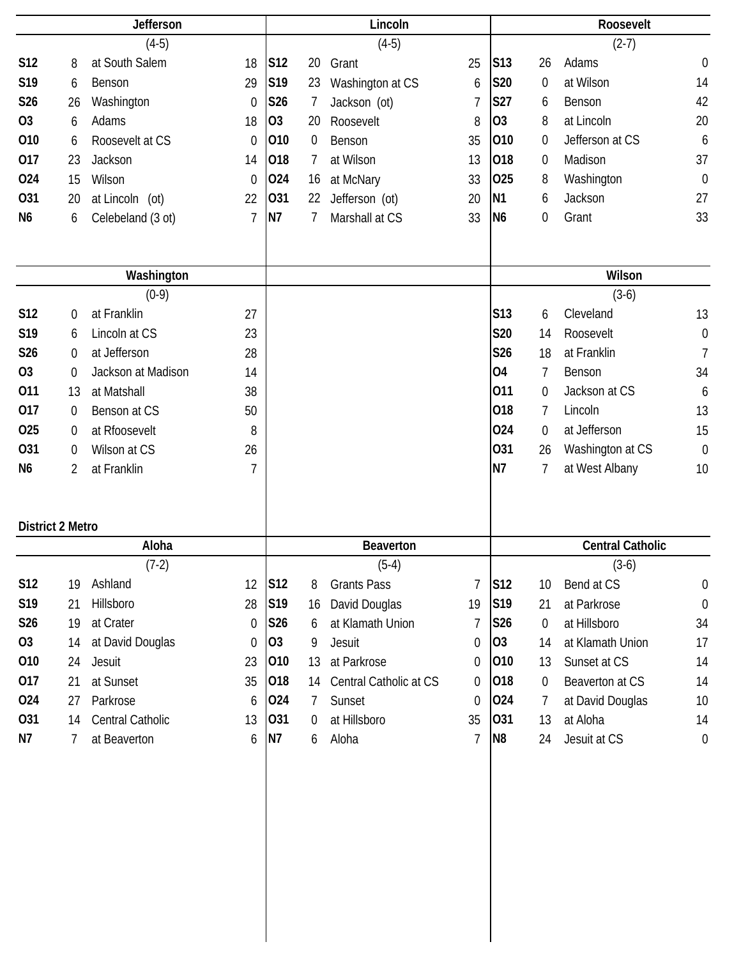|                         | <b>Jefferson</b> |                              |                  |                 | Lincoln          |                        |                   |                 | Roosevelt      |                              |                  |  |
|-------------------------|------------------|------------------------------|------------------|-----------------|------------------|------------------------|-------------------|-----------------|----------------|------------------------------|------------------|--|
|                         |                  | $(4-5)$                      |                  |                 |                  | $(4-5)$                |                   |                 |                | $(2-7)$                      |                  |  |
| <b>S12</b>              | 8                | at South Salem               | 18               | S12             | 20               | Grant                  | 25                | S13             | 26             | Adams                        | $\mathbf 0$      |  |
| S19                     | 6                | Benson                       | 29               | S19             | 23               | Washington at CS       | 6                 | <b>S20</b>      | 0              | at Wilson                    | 14               |  |
| S26                     | 26               | Washington                   | $\boldsymbol{0}$ | S26             | 7                | Jackson (ot)           | 7                 | S27             | 6              | Benson                       | 42               |  |
| O <sub>3</sub>          | 6                | Adams                        | 18               | O <sub>3</sub>  | 20               | Roosevelt              | 8                 | O <sub>3</sub>  | 8              | at Lincoln                   | 20               |  |
| 010                     | 6                | Roosevelt at CS              | $\Omega$         | 010             | $\boldsymbol{0}$ | Benson                 | 35                | 010             | 0              | Jefferson at CS              | 6                |  |
| 017                     | 23               | Jackson                      | 14               | 018             | 7                | at Wilson              | 13                | 018             | 0              | Madison                      | 37               |  |
| 024                     | 15               | Wilson                       | 0                | 024             | 16               | at McNary              | 33                | 025             | 8              | Washington                   | $\mathbf 0$      |  |
| 031                     | 20               | at Lincoln (ot)              | 22               | 031             | 22               | Jefferson (ot)         | 20                | N <sub>1</sub>  | 6              | Jackson                      | 27               |  |
| N <sub>6</sub>          | 6                | Celebeland (3 ot)            | 7                | <b>N7</b>       | 7                | Marshall at CS         | 33                | N <sub>6</sub>  | 0              | Grant                        | 33               |  |
|                         |                  |                              |                  |                 |                  |                        |                   |                 |                | Wilson                       |                  |  |
|                         |                  | Washington<br>$(0-9)$        |                  |                 |                  |                        |                   |                 |                | $(3-6)$                      |                  |  |
| S12                     |                  | at Franklin                  | 27               |                 |                  |                        |                   | S <sub>13</sub> |                | Cleveland                    | 13               |  |
| S19                     | 0<br>6           | Lincoln at CS                | 23               |                 |                  |                        |                   | S20             | 6<br>14        | Roosevelt                    | $\boldsymbol{0}$ |  |
| S26                     | 0                | at Jefferson                 | 28               |                 |                  |                        |                   | <b>S26</b>      | 18             | at Franklin                  | $\overline{1}$   |  |
| O <sub>3</sub>          | 0                | Jackson at Madison           | 14               |                 |                  |                        |                   | <b>O4</b>       | $\overline{7}$ | Benson                       | 34               |  |
| 011                     | 13               | at Matshall                  | 38               |                 |                  |                        |                   | 011             | 0              | Jackson at CS                | 6                |  |
| 017                     | 0                | Benson at CS                 | 50               |                 |                  |                        |                   | 018             | $\overline{7}$ | Lincoln                      | 13               |  |
| 025                     | 0                | at Rfoosevelt                | 8                |                 |                  |                        |                   | 024             | 0              | at Jefferson                 | 15               |  |
| 031                     | 0                | Wilson at CS                 | 26               |                 |                  |                        |                   | 031             | 26             | Washington at CS             | $\mathbf 0$      |  |
| N <sub>6</sub>          | 2                | at Franklin                  | 7                |                 |                  |                        |                   | N7              | 7              | at West Albany               | 10               |  |
|                         |                  |                              |                  |                 |                  |                        |                   |                 |                |                              |                  |  |
| <b>District 2 Metro</b> |                  |                              |                  |                 |                  |                        |                   |                 |                |                              |                  |  |
|                         |                  | Aloha                        |                  |                 |                  | <b>Beaverton</b>       |                   |                 |                | <b>Central Catholic</b>      |                  |  |
|                         |                  | $(7-2)$                      |                  |                 |                  | $(5-4)$                |                   |                 |                | $(3-6)$                      |                  |  |
| S12                     | 19               | Ashland                      | 12               | S <sub>12</sub> | 8                | <b>Grants Pass</b>     | 7                 | S <sub>12</sub> | 10             | Bend at CS                   | $\boldsymbol{0}$ |  |
| S19                     | 21               | Hillsboro                    | 28               | S19             | 16               | David Douglas          | 19                | S19             | 21             | at Parkrose                  | $\boldsymbol{0}$ |  |
| S26                     | 19               | at Crater                    | 0                | S26             | 6                | at Klamath Union       | 7                 | S26             | 0              | at Hillsboro                 | 34               |  |
| 03                      | 14               | at David Douglas             | $\boldsymbol{0}$ | 03              | 9                | Jesuit                 | $\theta$          | 03              | 14             | at Klamath Union             | 17               |  |
| 010                     | 24               | Jesuit                       | 23               | 010             | 13               | at Parkrose            | 0                 | 010             | 13             | Sunset at CS                 | 14               |  |
| 017<br>024              | 21               | at Sunset                    | 35               | 018<br>024      | 14               | Central Catholic at CS | 0                 | 018<br>024      | $\overline{0}$ | Beaverton at CS              | 14               |  |
| 031                     | 27               | Parkrose<br>Central Catholic | 6<br>13          | 031             | 7                | Sunset<br>at Hillsboro | $\mathbf 0$<br>35 | 031             | 7<br>13        | at David Douglas<br>at Aloha | $10$             |  |
| N7                      | 14               |                              |                  | N7              | $\boldsymbol{0}$ |                        | $\overline{1}$    | N <sub>8</sub>  |                |                              | 14               |  |
|                         | 7                | at Beaverton                 | 6                |                 | 6                | Aloha                  |                   |                 | 24             | Jesuit at CS                 | $\theta$         |  |
|                         |                  |                              |                  |                 |                  |                        |                   |                 |                |                              |                  |  |
|                         |                  |                              |                  |                 |                  |                        |                   |                 |                |                              |                  |  |
|                         |                  |                              |                  |                 |                  |                        |                   |                 |                |                              |                  |  |
|                         |                  |                              |                  |                 |                  |                        |                   |                 |                |                              |                  |  |
|                         |                  |                              |                  |                 |                  |                        |                   |                 |                |                              |                  |  |
|                         |                  |                              |                  |                 |                  |                        |                   |                 |                |                              |                  |  |
|                         |                  |                              |                  |                 |                  |                        |                   |                 |                |                              |                  |  |
|                         |                  |                              |                  |                 |                  |                        |                   |                 |                |                              |                  |  |
|                         |                  |                              |                  |                 |                  |                        |                   |                 |                |                              |                  |  |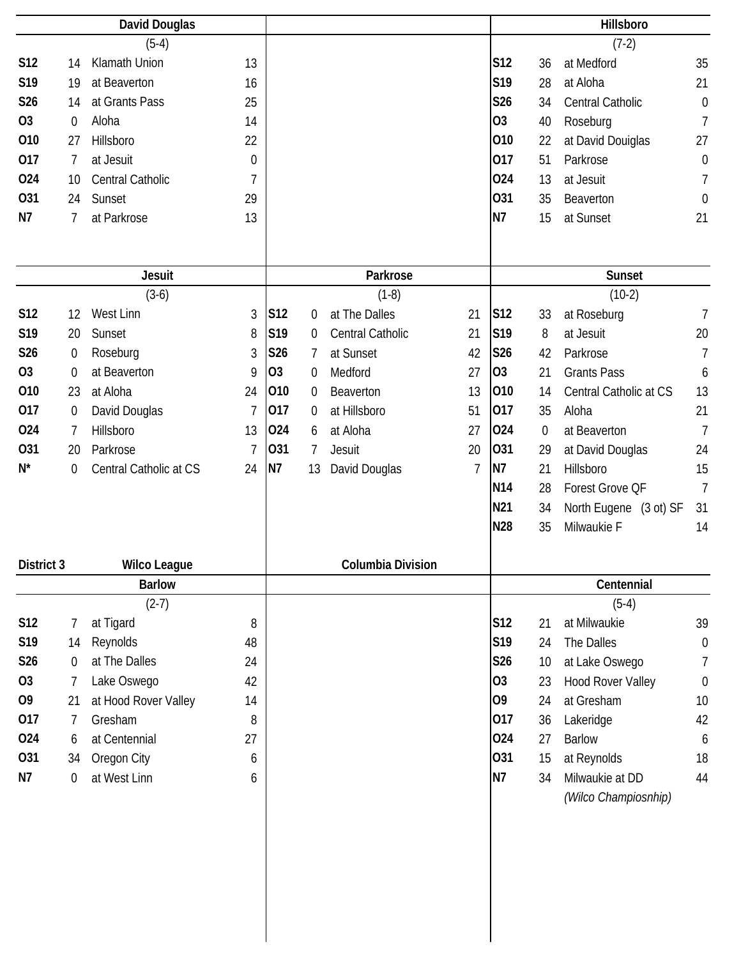|                   |                  | <b>David Douglas</b>                 |                |           |                  |                          |                |                |             | Hillsboro              |                       |
|-------------------|------------------|--------------------------------------|----------------|-----------|------------------|--------------------------|----------------|----------------|-------------|------------------------|-----------------------|
|                   |                  | $(5-4)$                              |                |           |                  |                          |                |                |             | $(7-2)$                |                       |
| <b>S12</b>        | 14               | Klamath Union                        | 13             |           |                  |                          |                | <b>S12</b>     | 36          | at Medford             | 35                    |
| S19               | 19               | at Beaverton                         | 16             |           |                  |                          |                | S19            | 28          | at Aloha               | 21                    |
| S26               | 14               | at Grants Pass                       | 25             |           |                  |                          |                | <b>S26</b>     | 34          | Central Catholic       | $\boldsymbol{0}$      |
| <b>O3</b>         | $\boldsymbol{0}$ | Aloha                                | 14             |           |                  |                          |                | <b>O3</b>      | 40          | Roseburg               | $\overline{1}$        |
| 010               | 27               | Hillsboro                            | 22             |           |                  |                          |                | 010            | 22          | at David Douiglas      | 27                    |
| 017               | 7                | at Jesuit                            | 0              |           |                  |                          |                | 017            | 51          | Parkrose               | $\mathbf 0$           |
| 024               | 10               | <b>Central Catholic</b>              | 7              |           |                  |                          |                | 024            | 13          | at Jesuit              | 7                     |
| 031               | 24               | Sunset                               | 29             |           |                  |                          |                | 031            | 35          | Beaverton              | $\boldsymbol{0}$      |
| N7                | 7                | at Parkrose                          | 13             |           |                  |                          |                | N7             | 15          | at Sunset              | 21                    |
|                   |                  |                                      |                |           |                  |                          |                |                |             |                        |                       |
|                   |                  | <b>Jesuit</b>                        |                |           |                  | Parkrose                 |                |                |             | Sunset                 |                       |
|                   |                  | $(3-6)$                              |                |           |                  | $(1-8)$                  |                |                |             | $(10-2)$               |                       |
| S12               | 12               | West Linn                            | 3              | S12       | $\boldsymbol{0}$ | at The Dalles            | 21             | S12            | 33          | at Roseburg            | 7                     |
| S19               | 20               | Sunset                               | 8              | S19       | 0                | Central Catholic         | 21             | S19            | 8           | at Jesuit              | 20                    |
| S26               | $\boldsymbol{0}$ | Roseburg                             | 3              | S26       | 7                | at Sunset                | 42             | <b>S26</b>     | 42          | Parkrose               | $\overline{1}$        |
| <b>O3</b>         | $\boldsymbol{0}$ | at Beaverton                         | 9              | <b>O3</b> | 0                | Medford                  | 27             | 03             | 21          | <b>Grants Pass</b>     | 6                     |
| 010               | 23               | at Aloha                             | 24             | 010       | 0                | Beaverton                | 13             | 010            | 14          | Central Catholic at CS | 13                    |
| 017               | $\boldsymbol{0}$ | David Douglas                        | $\overline{7}$ | 017       | 0                | at Hillsboro             | 51             | 017            | 35          | Aloha                  | 21                    |
| 024               | 7                | Hillsboro                            | 13             | 024       | 6                | at Aloha                 | 27             | 024            | $\mathbf 0$ | at Beaverton           | $\overline{7}$        |
| 031               | 20               | Parkrose                             | 7              | 031       | 7                | Jesuit                   | 20             | 031            | 29          | at David Douglas       | 24                    |
| $N^*$             | 0                | Central Catholic at CS               | 24             | N7        | 13               | David Douglas            | $\overline{7}$ | N7             | 21          | Hillsboro              | 15                    |
|                   |                  |                                      |                |           |                  |                          |                | <b>N14</b>     | 28          | Forest Grove QF        | $\overline{7}$        |
|                   |                  |                                      |                |           |                  |                          |                | N21            | 34          | North Eugene (3 ot) SF | 31                    |
|                   |                  |                                      |                |           |                  |                          |                | N28            | 35          | Milwaukie F            | 14                    |
|                   |                  |                                      |                |           |                  |                          |                |                |             |                        |                       |
| <b>District 3</b> |                  | <b>Wilco League</b><br><b>Barlow</b> |                |           |                  | <b>Columbia Division</b> |                |                |             |                        |                       |
|                   |                  | $(2-7)$                              |                |           |                  |                          |                |                |             | Centennial<br>$(5-4)$  |                       |
|                   |                  |                                      |                |           |                  |                          |                | S12            |             | at Milwaukie           |                       |
| <b>S12</b>        | 7                | at Tigard                            | 8              |           |                  |                          |                | S19            | 21          |                        | 39                    |
| S19<br>S26        | 14               | Reynolds<br>at The Dalles            | 48<br>24       |           |                  |                          |                | S26            | 24          | The Dalles             | $\boldsymbol{0}$<br>7 |
| 03                | $\boldsymbol{0}$ |                                      |                |           |                  |                          |                | 03             | 10          | at Lake Oswego         |                       |
| 09                | 7                | Lake Oswego                          | 42             |           |                  |                          |                | O <sub>9</sub> | 23          | Hood Rover Valley      | $\boldsymbol{0}$      |
| 017               | 21               | at Hood Rover Valley                 | 14             |           |                  |                          |                | 017            | 24          | at Gresham             | 10                    |
|                   | 7                | Gresham                              | 8              |           |                  |                          |                | 024            | 36          | Lakeridge              | 42                    |
| 024               | 6                | at Centennial                        | 27             |           |                  |                          |                |                | 27          | <b>Barlow</b>          | 6                     |
| 031               | 34               | Oregon City                          | 6              |           |                  |                          |                | 031            | 15          | at Reynolds            | 18                    |
| N7                | 0                | at West Linn                         | 6              |           |                  |                          |                | <b>N7</b>      | 34          | Milwaukie at DD        | 44                    |
|                   |                  |                                      |                |           |                  |                          |                |                |             | (Wilco Champiosnhip)   |                       |
|                   |                  |                                      |                |           |                  |                          |                |                |             |                        |                       |
|                   |                  |                                      |                |           |                  |                          |                |                |             |                        |                       |
|                   |                  |                                      |                |           |                  |                          |                |                |             |                        |                       |
|                   |                  |                                      |                |           |                  |                          |                |                |             |                        |                       |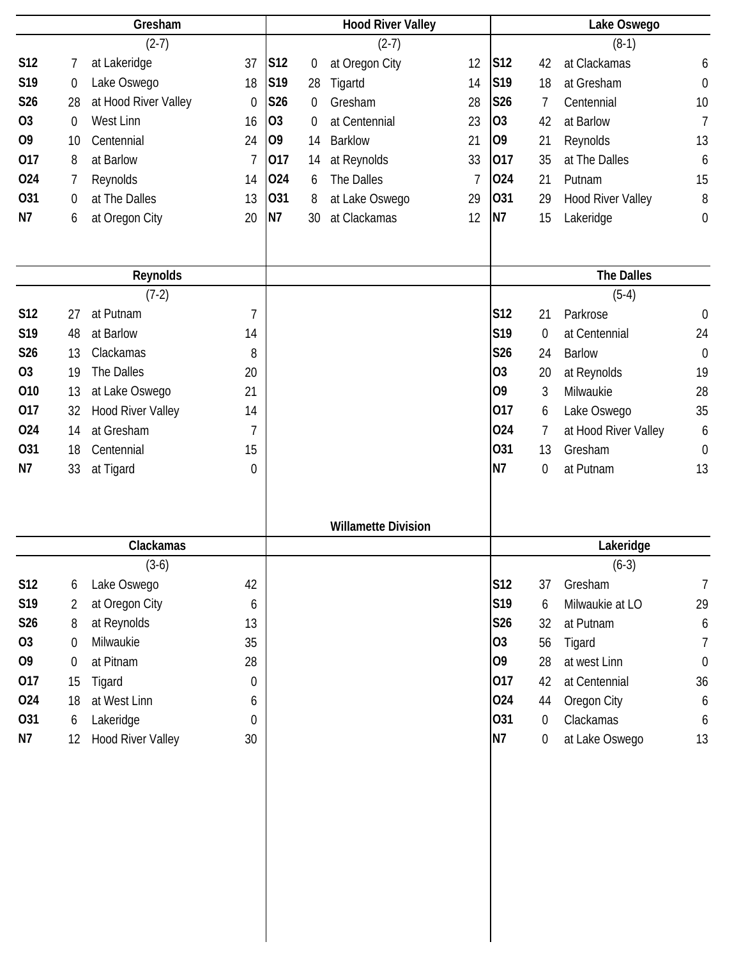|                | Gresham |                          |                  |                | <b>Hood River Valley</b> |                            |    |                 | Lake Oswego      |                          |                  |  |
|----------------|---------|--------------------------|------------------|----------------|--------------------------|----------------------------|----|-----------------|------------------|--------------------------|------------------|--|
|                |         | $(2-7)$                  |                  |                |                          | $(2-7)$                    |    |                 |                  | $(8-1)$                  |                  |  |
| <b>S12</b>     | 7       | at Lakeridge             | 37               | S12            | 0                        | at Oregon City             | 12 | S <sub>12</sub> | 42               | at Clackamas             | 6                |  |
| S19            | 0       | Lake Oswego              | 18               | S19            | 28                       | Tigartd                    | 14 | S <sub>19</sub> | 18               | at Gresham               | $\boldsymbol{0}$ |  |
| <b>S26</b>     | 28      | at Hood River Valley     | $\boldsymbol{0}$ | <b>S26</b>     | 0                        | Gresham                    | 28 | S26             | 7                | Centennial               | 10               |  |
| O <sub>3</sub> | 0       | West Linn                | 16               | O <sub>3</sub> | 0                        | at Centennial              | 23 | O <sub>3</sub>  | 42               | at Barlow                | $\overline{7}$   |  |
| O <sub>9</sub> | 10      | Centennial               | 24               | O <sub>9</sub> | 14                       | <b>Barklow</b>             | 21 | O <sub>9</sub>  | 21               | Reynolds                 | 13               |  |
| 017            | 8       | at Barlow                | $\overline{1}$   | 017            | 14                       | at Reynolds                | 33 | 017             | 35               | at The Dalles            | 6                |  |
| 024            | 7       | Reynolds                 | 14               | 024            | 6                        | The Dalles                 | 7  | 024             | 21               | Putnam                   | 15               |  |
| 031            | 0       | at The Dalles            | 13               | 031            | 8                        | at Lake Oswego             | 29 | 031             | 29               | <b>Hood River Valley</b> | 8                |  |
| N7             | 6       | at Oregon City           | 20               | N7             | 30                       | at Clackamas               | 12 | N7              | 15               | Lakeridge                | $\boldsymbol{0}$ |  |
|                |         |                          |                  |                |                          |                            |    |                 |                  |                          |                  |  |
|                |         |                          |                  |                |                          |                            |    |                 |                  |                          |                  |  |
|                |         | Reynolds                 |                  |                |                          |                            |    |                 |                  | <b>The Dalles</b>        |                  |  |
|                |         | $(7-2)$                  |                  |                |                          |                            |    |                 |                  | $(5-4)$                  |                  |  |
| <b>S12</b>     | 27      | at Putnam                | $\overline{7}$   |                |                          |                            |    | S12             | 21               | Parkrose                 | $\mathbf 0$      |  |
| S19            | 48      | at Barlow                | 14               |                |                          |                            |    | S19             | $\mathbf 0$      | at Centennial            | 24               |  |
| S26            | 13      | Clackamas                | 8                |                |                          |                            |    | S26             | 24               | <b>Barlow</b>            | $\boldsymbol{0}$ |  |
| <b>O3</b>      | 19      | The Dalles               | 20               |                |                          |                            |    | <b>O3</b>       | 20               | at Reynolds              | 19               |  |
| 010            | 13      | at Lake Oswego           | 21               |                |                          |                            |    | O <sub>9</sub>  | 3                | Milwaukie                | 28               |  |
| 017            | 32      | <b>Hood River Valley</b> | 14               |                |                          |                            |    | 017             | 6                | Lake Oswego              | 35               |  |
| 024            | 14      | at Gresham               | $\overline{1}$   |                |                          |                            |    | 024             | 7                | at Hood River Valley     | 6                |  |
| 031            | 18      | Centennial               | 15               |                |                          |                            |    | 031             | 13               | Gresham                  | $\boldsymbol{0}$ |  |
| N7             | 33      | at Tigard                | 0                |                |                          |                            |    | N7              | 0                | at Putnam                | 13               |  |
|                |         |                          |                  |                |                          |                            |    |                 |                  |                          |                  |  |
|                |         |                          |                  |                |                          |                            |    |                 |                  |                          |                  |  |
|                |         |                          |                  |                |                          | <b>Willamette Division</b> |    |                 |                  |                          |                  |  |
|                |         | Clackamas                |                  |                |                          |                            |    |                 |                  | Lakeridge                |                  |  |
|                |         | $(3-6)$                  |                  |                |                          |                            |    |                 |                  | $(6-3)$                  |                  |  |
| S12            | 6       | Lake Oswego              | 42               |                |                          |                            |    | S12             | 37               | Gresham                  | $\overline{7}$   |  |
| S19            | 2       | at Oregon City           | 6                |                |                          |                            |    | S19             | 6                | Milwaukie at LO          | 29               |  |
| S26            | 8       | at Reynolds              | 13               |                |                          |                            |    | <b>S26</b>      | 32               | at Putnam                | $\boldsymbol{6}$ |  |
| <b>O3</b>      | 0       | Milwaukie                | 35               |                |                          |                            |    | <b>O3</b>       | 56               | Tigard                   | $\overline{7}$   |  |
| O <sub>9</sub> | 0       | at Pitnam                | 28               |                |                          |                            |    | O <sub>9</sub>  | 28               | at west Linn             | $\boldsymbol{0}$ |  |
| 017            | 15      | Tigard                   | $\boldsymbol{0}$ |                |                          |                            |    | 017             | 42               | at Centennial            | 36               |  |
| 024            | 18      | at West Linn             | 6                |                |                          |                            |    | 024             | 44               | Oregon City              | $\boldsymbol{6}$ |  |
| 031            | 6       | Lakeridge                | $\mathbf 0$      |                |                          |                            |    | 031             | $\boldsymbol{0}$ | Clackamas                | $\boldsymbol{6}$ |  |
| N7             | 12      | <b>Hood River Valley</b> | 30               |                |                          |                            |    | <b>N7</b>       | $\boldsymbol{0}$ | at Lake Oswego           | 13               |  |
|                |         |                          |                  |                |                          |                            |    |                 |                  |                          |                  |  |
|                |         |                          |                  |                |                          |                            |    |                 |                  |                          |                  |  |
|                |         |                          |                  |                |                          |                            |    |                 |                  |                          |                  |  |
|                |         |                          |                  |                |                          |                            |    |                 |                  |                          |                  |  |
|                |         |                          |                  |                |                          |                            |    |                 |                  |                          |                  |  |
|                |         |                          |                  |                |                          |                            |    |                 |                  |                          |                  |  |
|                |         |                          |                  |                |                          |                            |    |                 |                  |                          |                  |  |
|                |         |                          |                  |                |                          |                            |    |                 |                  |                          |                  |  |
|                |         |                          |                  |                |                          |                            |    |                 |                  |                          |                  |  |
|                |         |                          |                  |                |                          |                            |    |                 |                  |                          |                  |  |
|                |         |                          |                  |                |                          |                            |    |                 |                  |                          |                  |  |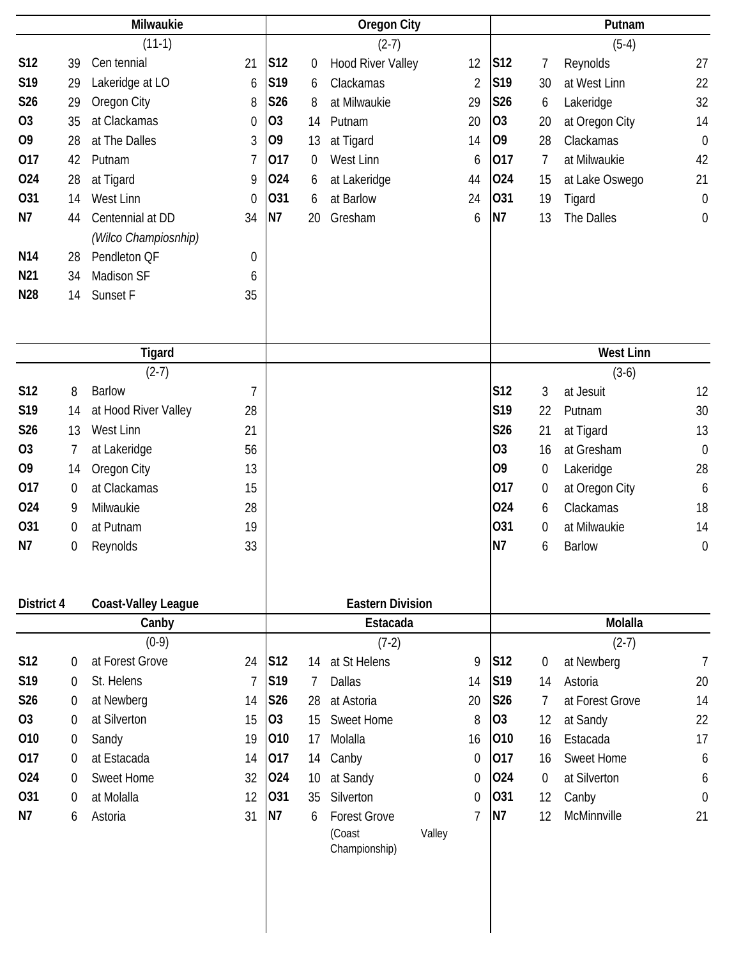| Milwaukie       |                |                            |                | <b>Oregon City</b> |    |                          |                |                 | Putnam           |                   |                  |  |
|-----------------|----------------|----------------------------|----------------|--------------------|----|--------------------------|----------------|-----------------|------------------|-------------------|------------------|--|
|                 |                | $(11-1)$                   |                |                    |    | $(2-7)$                  |                |                 |                  | $(5-4)$           |                  |  |
| S12             | 39             | Cen tennial                | 21             | S12                | 0  | <b>Hood River Valley</b> | 12             | S12             | 7                | Reynolds          | 27               |  |
| S19             | 29             | Lakeridge at LO            | 6              | S19                | 6  | Clackamas                | $\overline{2}$ | S19             | 30               | at West Linn      | 22               |  |
| S26             | 29             | Oregon City                | 8              | S26                | 8  | at Milwaukie             | 29             | S26             | 6                | Lakeridge         | 32               |  |
| O <sub>3</sub>  | 35             | at Clackamas               | 0              | O <sub>3</sub>     | 14 | Putnam                   | 20             | O <sub>3</sub>  | 20               | at Oregon City    | 14               |  |
| O <sub>9</sub>  | 28             | at The Dalles              | 3              | 09                 | 13 | at Tigard                | 14             | O <sub>9</sub>  | 28               | Clackamas         | $\mathbf 0$      |  |
| 017             | 42             | Putnam                     | 7              | 017                | 0  | West Linn                | 6              | 017             | 7                | at Milwaukie      | 42               |  |
| 024             | 28             | at Tigard                  | 9              | 024                | 6  | at Lakeridge             | 44             | 024             | 15               | at Lake Oswego    | 21               |  |
| 031             | 14             | West Linn                  | $\theta$       | 031                | 6  | at Barlow                | 24             | 031             | 19               | Tigard            | $\mathbf 0$      |  |
| N7              | 44             | Centennial at DD           | 34             | N <sub>7</sub>     | 20 | Gresham                  | 6              | <b>N7</b>       | 13               | The Dalles        | $\boldsymbol{0}$ |  |
|                 |                | (Wilco Champiosnhip)       |                |                    |    |                          |                |                 |                  |                   |                  |  |
| N <sub>14</sub> | 28             | Pendleton QF               | 0              |                    |    |                          |                |                 |                  |                   |                  |  |
| N21             | 34             | Madison SF                 | 6              |                    |    |                          |                |                 |                  |                   |                  |  |
| N28             | 14             | Sunset F                   | 35             |                    |    |                          |                |                 |                  |                   |                  |  |
|                 |                |                            |                |                    |    |                          |                |                 |                  |                   |                  |  |
|                 |                |                            |                |                    |    |                          |                |                 |                  |                   |                  |  |
|                 |                | Tigard                     |                |                    |    |                          |                |                 |                  | <b>West Linn</b>  |                  |  |
|                 |                | $(2-7)$                    |                |                    |    |                          |                |                 |                  | $(3-6)$           |                  |  |
| S12             | 8              | <b>Barlow</b>              | 7              |                    |    |                          |                | S <sub>12</sub> | 3                | at Jesuit         | 12               |  |
| S19             | 14             | at Hood River Valley       | 28             |                    |    |                          |                | S19             | 22               | Putnam            | 30               |  |
| S26             | 13             | West Linn                  | 21             |                    |    |                          |                | S26             | 21               | at Tigard         | 13               |  |
| O <sub>3</sub>  | 7              | at Lakeridge               | 56             |                    |    |                          |                | O <sub>3</sub>  | 16               | at Gresham        | $\mathbf 0$      |  |
| O <sub>9</sub>  | 14             | Oregon City                | 13             |                    |    |                          |                | O <sub>9</sub>  | $\boldsymbol{0}$ | Lakeridge         | 28               |  |
| 017             | 0              | at Clackamas               | 15             |                    |    |                          |                | 017             | $\boldsymbol{0}$ | at Oregon City    | 6                |  |
| 024             | 9              | Milwaukie                  | 28             |                    |    |                          |                | 024             | 6                | Clackamas         | 18               |  |
| 031             | 0              | at Putnam                  | 19             |                    |    |                          |                | 031             | $\overline{0}$   | at Milwaukie      | 14               |  |
| N7              | 0              | Reynolds                   | 33             |                    |    |                          |                | N7              | 6                | <b>Barlow</b>     | $\mathbf 0$      |  |
|                 |                |                            |                |                    |    |                          |                |                 |                  |                   |                  |  |
|                 |                |                            |                |                    |    |                          |                |                 |                  |                   |                  |  |
| District 4      |                | <b>Coast-Valley League</b> |                |                    |    | <b>Eastern Division</b>  |                |                 |                  |                   |                  |  |
|                 |                | Canby                      |                |                    |    | Estacada                 |                |                 |                  | Molalla           |                  |  |
|                 |                | $(0-9)$                    |                |                    |    | $(7-2)$                  |                |                 |                  | $(2-7)$           |                  |  |
| S12             | 0              | at Forest Grove            | 24             | S <sub>12</sub>    | 14 | at St Helens             | 9              | S12             | 0                | at Newberg        | $\overline{1}$   |  |
| S19             | 0              | St. Helens                 | $\overline{7}$ | S19                | 7  | Dallas                   | 14             | S19             | 14               | Astoria           | 20               |  |
| S <sub>26</sub> | $\Omega$       | at Newberg                 | 14             | S26                | 28 | at Astoria               | 20             | S26             | 7                | at Forest Grove   | 14               |  |
| <b>O3</b>       | 0              | at Silverton               | 15             | 03                 | 15 | <b>Sweet Home</b>        | 8              | 03              | 12               | at Sandy          | 22               |  |
| 010             | $\overline{0}$ | Sandy                      | 19             | 010                | 17 | Molalla                  | 16             | 010             | 16               | Estacada          | 17               |  |
| 017             | 0              | at Estacada                | 14             | 017                | 14 | Canby                    | $\Omega$       | 017             | 16               | <b>Sweet Home</b> | 6                |  |
| 024             | $\Omega$       | Sweet Home                 | 32             | 024                | 10 | at Sandy                 | 0              | 024             | 0                | at Silverton      | 6                |  |
| 031             | 0              | at Molalla                 | 12             | 031                | 35 | Silverton                | $\mathbf 0$    | 031             | 12               | Canby             | $\boldsymbol{0}$ |  |
| N7              | 6              | Astoria                    | 31             | N7                 | 6  | <b>Forest Grove</b>      | 7              | N <sub>7</sub>  | 12               | McMinnville       | 21               |  |
|                 |                |                            |                |                    |    | (Coast                   | Valley         |                 |                  |                   |                  |  |
|                 |                |                            |                |                    |    | Championship)            |                |                 |                  |                   |                  |  |
|                 |                |                            |                |                    |    |                          |                |                 |                  |                   |                  |  |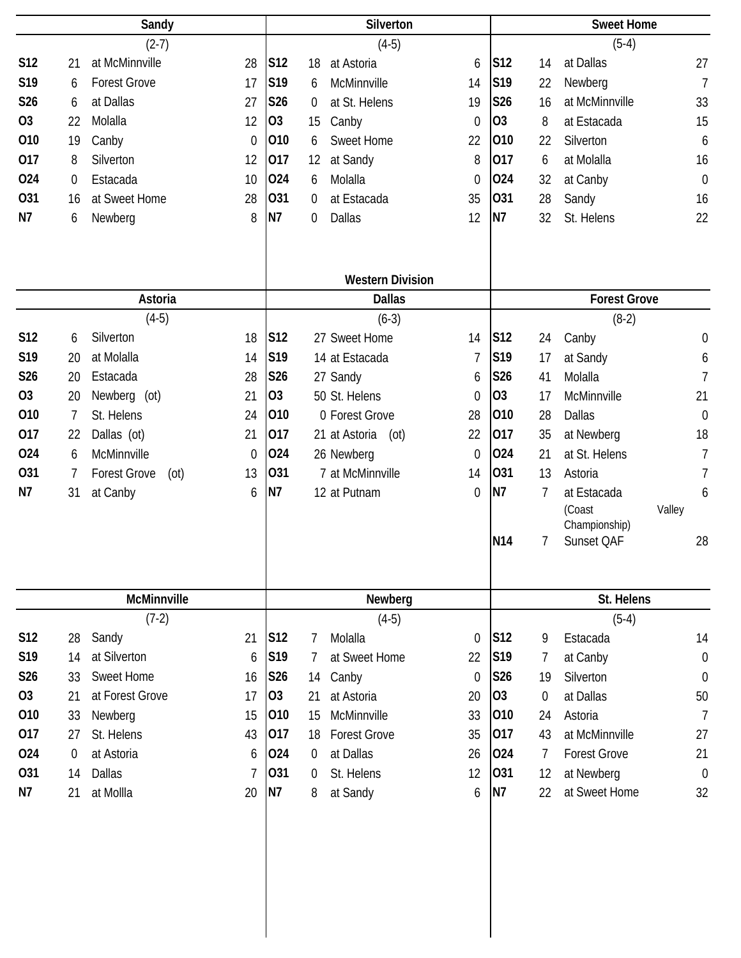|            | Sandy            |                             |              | Silverton       |    |                         |                |                 | <b>Sweet Home</b> |                     |                  |  |
|------------|------------------|-----------------------------|--------------|-----------------|----|-------------------------|----------------|-----------------|-------------------|---------------------|------------------|--|
|            |                  | $(2-7)$                     |              |                 |    | $(4-5)$                 |                |                 |                   | $(5-4)$             |                  |  |
| <b>S12</b> | 21               | at McMinnville              | 28           | S12             | 18 | at Astoria              | 6              | S12             | 14                | at Dallas           | 27               |  |
| S19        | 6                | <b>Forest Grove</b>         | 17           | S19             | 6  | McMinnville             | 14             | S19             | 22                | Newberg             | $\overline{7}$   |  |
| S26        | 6                | at Dallas                   | 27           | S26             | 0  | at St. Helens           | 19             | S26             | 16                | at McMinnville      | 33               |  |
| <b>O3</b>  | 22               | Molalla                     | 12           | O <sub>3</sub>  | 15 | Canby                   | $\theta$       | O <sub>3</sub>  | 8                 | at Estacada         | 15               |  |
| 010        | 19               | Canby                       | $\mathbf{0}$ | 010             | 6  | <b>Sweet Home</b>       | 22             | 010             | 22                | Silverton           | 6                |  |
| 017        | 8                | Silverton                   | 12           | 017             | 12 | at Sandy                | 8              | 017             | 6                 | at Molalla          | 16               |  |
| 024        | 0                | Estacada                    | 10           | 024             | 6  | Molalla                 | $\theta$       | 024             | 32                | at Canby            | $\mathbf 0$      |  |
| 031        | 16               | at Sweet Home               | 28           | 031             | 0  | at Estacada             | 35             | 031             | 28                | Sandy               | 16               |  |
| N7         | 6                | Newberg                     | 8            | <b>N7</b>       | 0  | <b>Dallas</b>           | 12             | N7              | 32                | St. Helens          | 22               |  |
|            |                  |                             |              |                 |    | <b>Western Division</b> |                |                 |                   |                     |                  |  |
|            |                  | Astoria                     |              |                 |    | <b>Dallas</b>           |                |                 |                   | <b>Forest Grove</b> |                  |  |
|            |                  | $(4-5)$                     |              |                 |    | $(6-3)$                 |                |                 |                   | $(8-2)$             |                  |  |
| <b>S12</b> | 6                | Silverton                   | 18           | S12             |    | 27 Sweet Home           | 14             | S12             | 24                | Canby               | $\boldsymbol{0}$ |  |
| S19        | 20               | at Molalla                  | 14           | S19             |    | 14 at Estacada          | $\overline{1}$ | S19             | 17                | at Sandy            | 6                |  |
| S26        | 20               | Estacada                    | 28           | S26             |    | 27 Sandy                | 6              | S26             | 41                | Molalla             | $\overline{7}$   |  |
| <b>O3</b>  | 20               | Newberg (ot)                | 21           | O <sub>3</sub>  |    | 50 St. Helens           | $\theta$       | <b>O3</b>       | 17                | McMinnville         | 21               |  |
| 010        | 7                | St. Helens                  | 24           | 010             |    | 0 Forest Grove          | 28             | 010             | 28                | <b>Dallas</b>       | $\mathbf 0$      |  |
| 017        | 22               | Dallas (ot)                 | 21           | 017             |    | 21 at Astoria<br>(ot)   | 22             | 017             | 35                | at Newberg          | 18               |  |
| 024        | 6                | McMinnville                 | $\mathbf 0$  | 024             |    | 26 Newberg              | $\theta$       | 024             | 21                | at St. Helens       | $\overline{1}$   |  |
| 031        | 7                | <b>Forest Grove</b><br>(ot) | 13           | 031             |    | 7 at McMinnville        | 14             | 031             | 13                | Astoria             | $\overline{1}$   |  |
| N7         | 31               | at Canby                    | 6            | N7              |    | 12 at Putnam            | $\theta$       | <b>N7</b>       | 7                 | at Estacada         | 6                |  |
|            |                  |                             |              |                 |    |                         |                |                 |                   | (Coast              | Valley           |  |
|            |                  |                             |              |                 |    |                         |                |                 |                   | Championship)       |                  |  |
|            |                  |                             |              |                 |    |                         |                | N <sub>14</sub> | 7                 | Sunset QAF          | 28               |  |
|            |                  | McMinnville                 |              |                 |    | Newberg                 |                |                 |                   | St. Helens          |                  |  |
|            |                  | $(7-2)$                     |              |                 |    | $(4-5)$                 |                |                 |                   | $(5-4)$             |                  |  |
| S12        | 28               | Sandy                       | 21           | S <sub>12</sub> | 7  | Molalla                 | $\theta$       | S <sub>12</sub> | 9                 | Estacada            | 14               |  |
| S19        | 14               | at Silverton                | 6            | S19             | 7  | at Sweet Home           | 22             | S19             | 7                 | at Canby            | $\boldsymbol{0}$ |  |
| S26        | 33               | <b>Sweet Home</b>           | 16           | <b>S26</b>      | 14 | Canby                   | $\theta$       | S26             | 19                | Silverton           | $\boldsymbol{0}$ |  |
| <b>O3</b>  | 21               | at Forest Grove             | 17           | <b>O3</b>       | 21 | at Astoria              | 20             | 03              | $\overline{0}$    | at Dallas           | 50               |  |
| 010        | 33               | Newberg                     | 15           | 010             | 15 | McMinnville             | 33             | 010             | 24                | Astoria             | $\overline{7}$   |  |
| 017        | 27               | St. Helens                  | 43           | 017             | 18 | <b>Forest Grove</b>     | 35             | 017             | 43                | at McMinnville      | 27               |  |
| 024        | $\boldsymbol{0}$ | at Astoria                  | 6            | 024             | 0  | at Dallas               | 26             | 024             | 7                 | <b>Forest Grove</b> | 21               |  |
| 031        | 14               | Dallas                      | 7            | 031             | 0  | St. Helens              | 12             | 031             | 12                | at Newberg          | $\mathbf 0$      |  |
| N7         | 21               | at Mollla                   | 20           | N7              | 8  | at Sandy                | 6              | <b>N7</b>       | 22                | at Sweet Home       | 32               |  |
|            |                  |                             |              |                 |    |                         |                |                 |                   |                     |                  |  |
|            |                  |                             |              |                 |    |                         |                |                 |                   |                     |                  |  |
|            |                  |                             |              |                 |    |                         |                |                 |                   |                     |                  |  |
|            |                  |                             |              |                 |    |                         |                |                 |                   |                     |                  |  |
|            |                  |                             |              |                 |    |                         |                |                 |                   |                     |                  |  |
|            |                  |                             |              |                 |    |                         |                |                 |                   |                     |                  |  |
|            |                  |                             |              |                 |    |                         |                |                 |                   |                     |                  |  |
|            |                  |                             |              |                 |    |                         |                |                 |                   |                     |                  |  |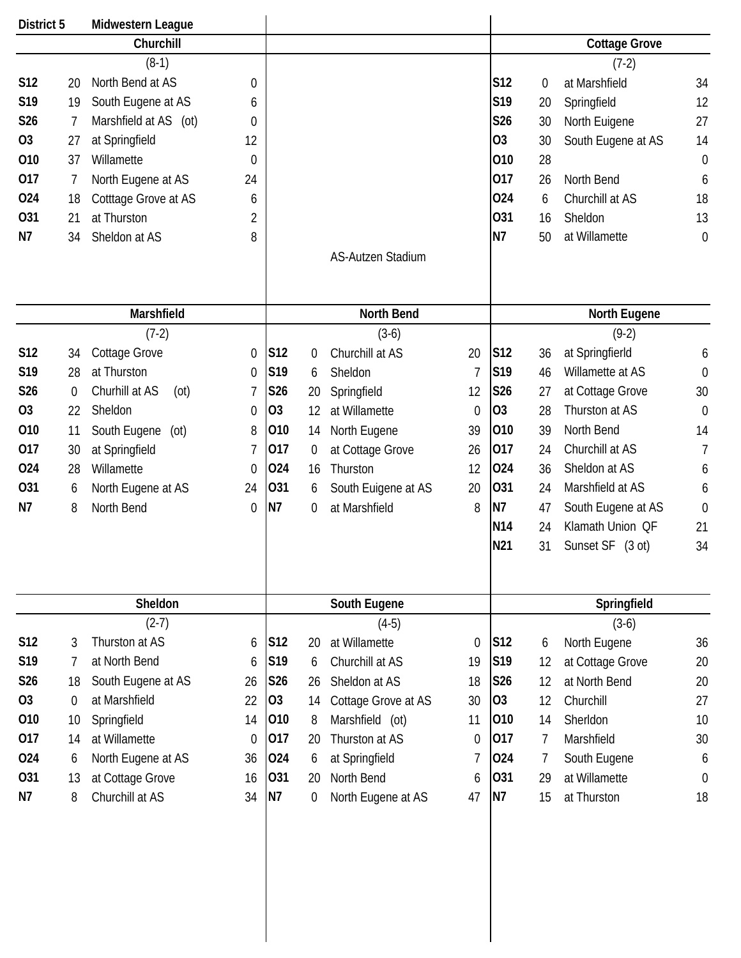| District 5      |                  | Midwestern League      |                  |                 |    |                     |             |                 |                  |                      |                  |
|-----------------|------------------|------------------------|------------------|-----------------|----|---------------------|-------------|-----------------|------------------|----------------------|------------------|
|                 |                  | Churchill              |                  |                 |    |                     |             |                 |                  | <b>Cottage Grove</b> |                  |
|                 |                  | $(8-1)$                |                  |                 |    |                     |             |                 |                  | $(7-2)$              |                  |
| S12             | 20               | North Bend at AS       | 0                |                 |    |                     |             | S12             | $\boldsymbol{0}$ | at Marshfield        | 34               |
| S19             | 19               | South Eugene at AS     | 6                |                 |    |                     |             | S19             | 20               | Springfield          | 12               |
| S <sub>26</sub> | 7                | Marshfield at AS (ot)  | 0                |                 |    |                     |             | S26             | 30               | North Euigene        | 27               |
| <b>O3</b>       | 27               | at Springfield         | 12               |                 |    |                     |             | <b>O3</b>       | 30               | South Eugene at AS   | 14               |
| 010             | 37               | Willamette             | $\mathbf 0$      |                 |    |                     |             | 010             | 28               |                      | $\mathbf 0$      |
| 017             | 7                | North Eugene at AS     | 24               |                 |    |                     |             | 017             | 26               | North Bend           | 6                |
| 024             | 18               | Cotttage Grove at AS   | 6                |                 |    |                     |             | 024             | 6                | Churchill at AS      | 18               |
| <b>O31</b>      | 21               | at Thurston            | 2                |                 |    |                     |             | 031             | 16               | Sheldon              | 13               |
| N7              | 34               | Sheldon at AS          | 8                |                 |    |                     |             | N7              | 50               | at Willamette        | $\mathbf 0$      |
|                 |                  |                        |                  |                 |    | AS-Autzen Stadium   |             |                 |                  |                      |                  |
|                 |                  |                        |                  |                 |    |                     |             |                 |                  |                      |                  |
|                 |                  | Marshfield             |                  |                 |    | North Bend          |             |                 |                  | North Eugene         |                  |
|                 |                  | $(7-2)$                |                  |                 |    | $(3-6)$             |             |                 |                  | $(9-2)$              |                  |
| S12             | 34               | <b>Cottage Grove</b>   | 0                | S12             | 0  | Churchill at AS     | 20          | S <sub>12</sub> | 36               | at SpringfierId      | 6                |
| S <sub>19</sub> | 28               | at Thurston            | $\mathbf 0$      | S19             | 6  | Sheldon             | 7           | S <sub>19</sub> | 46               | Willamette at AS     | $\mathbf 0$      |
| S26             | $\boldsymbol{0}$ | Churhill at AS<br>(ot) | 7                | S26             | 20 | Springfield         | 12          | S26             | 27               | at Cottage Grove     | 30               |
| 03              | 22               | Sheldon                | 0                | O <sub>3</sub>  | 12 | at Willamette       | 0           | O <sub>3</sub>  | 28               | Thurston at AS       | $\boldsymbol{0}$ |
| 010             | 11               | South Eugene<br>(ot)   | 8                | 010             | 14 | North Eugene        | 39          | 010             | 39               | North Bend           | 14               |
| 017             | 30               | at Springfield         | 7                | 017             | 0  | at Cottage Grove    | 26          | 017             | 24               | Churchill at AS      | 7                |
| 024             | 28               | Willamette             | $\theta$         | 024             | 16 | Thurston            | 12          | 024             | 36               | Sheldon at AS        | 6                |
| 031             | 6                | North Eugene at AS     | 24               | 031             | 6  | South Euigene at AS | 20          | 031             | 24               | Marshfield at AS     | 6                |
| N7              | 8                | North Bend             | $\mathbf 0$      | N7              | 0  | at Marshfield       | 8           | N7              | 47               | South Eugene at AS   | $\boldsymbol{0}$ |
|                 |                  |                        |                  |                 |    |                     |             | N <sub>14</sub> | 24               | Klamath Union QF     | 21               |
|                 |                  |                        |                  |                 |    |                     |             | N21             | 31               | Sunset SF (3 ot)     | 34               |
|                 |                  |                        |                  |                 |    |                     |             |                 |                  |                      |                  |
|                 |                  | Sheldon                |                  |                 |    | South Eugene        |             |                 |                  | Springfield          |                  |
|                 |                  | $(2-7)$                |                  |                 |    | $(4-5)$             |             |                 |                  | $(3-6)$              |                  |
| S12             | 3                | Thurston at AS         | 6                | S <sub>12</sub> | 20 | at Willamette       | 0           | S <sub>12</sub> | 6                | North Eugene         | 36               |
| S19             | 7                | at North Bend          | 6                | S19             | 6  | Churchill at AS     | 19          | S19             | 12               | at Cottage Grove     | 20               |
| S26             | 18               | South Eugene at AS     | 26               | <b>S26</b>      | 26 | Sheldon at AS       | 18          | S26             | 12               | at North Bend        | 20               |
| 03              | $\boldsymbol{0}$ | at Marshfield          | 22               | <b>O3</b>       | 14 | Cottage Grove at AS | 30          | 03              | 12               | Churchill            | 27               |
| 010             | 10               | Springfield            | 14               | 010             | 8  | Marshfield (ot)     | 11          | 010             | 14               | Sherldon             | 10               |
| 017             | 14               | at Willamette          | $\boldsymbol{0}$ | 017             | 20 | Thurston at AS      | $\mathbf 0$ | 017             | 7                | Marshfield           | 30               |
| 024             | 6                | North Eugene at AS     | 36               | 024             | 6  | at Springfield      | 7           | 024             | 7                | South Eugene         | 6                |
| 031             | 13               | at Cottage Grove       | 16               | 031             | 20 | North Bend          | 6           | 031             | 29               | at Willamette        | $\mathbf 0$      |
| N7              | 8                | Churchill at AS        | 34               | N7              | 0  | North Eugene at AS  | 47          | N7              | 15               | at Thurston          | 18               |
|                 |                  |                        |                  |                 |    |                     |             |                 |                  |                      |                  |
|                 |                  |                        |                  |                 |    |                     |             |                 |                  |                      |                  |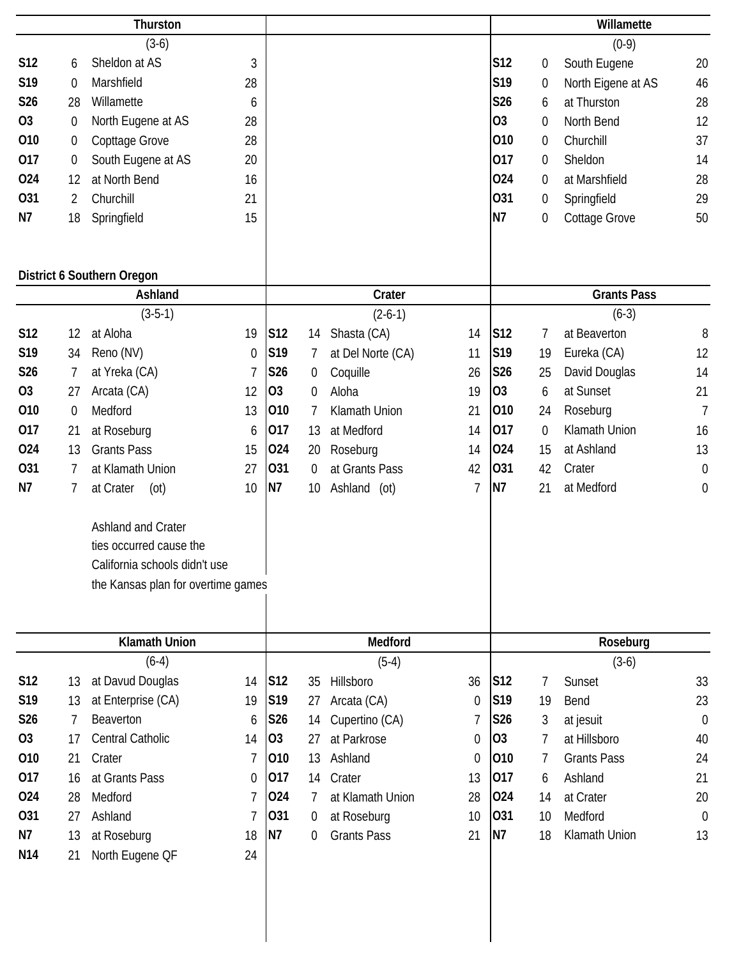|                 | Thurston         |                                    |             |            |                  |                    |                  |                 | Willamette       |                    |                  |
|-----------------|------------------|------------------------------------|-------------|------------|------------------|--------------------|------------------|-----------------|------------------|--------------------|------------------|
|                 |                  | $(3-6)$                            |             |            |                  |                    |                  |                 |                  | $(0-9)$            |                  |
| <b>S12</b>      | 6                | Sheldon at AS                      | 3           |            |                  |                    |                  | <b>S12</b>      | $\boldsymbol{0}$ | South Eugene       | 20               |
| S <sub>19</sub> | $\overline{0}$   | Marshfield                         | 28          |            |                  |                    |                  | S19             | 0                | North Eigene at AS | 46               |
| S26             | 28               | Willamette                         | 6           |            |                  |                    |                  | S26             | 6                | at Thurston        | 28               |
| <b>O3</b>       | $\mathbf 0$      | North Eugene at AS                 | 28          |            |                  |                    |                  | <b>O3</b>       | 0                | North Bend         | 12               |
| 010             | $\boldsymbol{0}$ | Copttage Grove                     | 28          |            |                  |                    |                  | 010             | 0                | Churchill          | 37               |
| 017             | $\boldsymbol{0}$ | South Eugene at AS                 | 20          |            |                  |                    |                  | 017             | 0                | Sheldon            | 14               |
| 024             | 12               | at North Bend                      | 16          |            |                  |                    |                  | 024             | 0                | at Marshfield      | 28               |
| 031             | 2                | Churchill                          | 21          |            |                  |                    |                  | 031             | 0                | Springfield        | 29               |
| N7              | 18               | Springfield                        | 15          |            |                  |                    |                  | N7              | 0                | Cottage Grove      | 50               |
|                 |                  |                                    |             |            |                  |                    |                  |                 |                  |                    |                  |
|                 |                  |                                    |             |            |                  |                    |                  |                 |                  |                    |                  |
|                 |                  | District 6 Southern Oregon         |             |            |                  |                    |                  |                 |                  |                    |                  |
|                 |                  | Ashland                            |             |            |                  | Crater             |                  |                 |                  | <b>Grants Pass</b> |                  |
|                 |                  | $(3-5-1)$                          |             |            |                  | $(2-6-1)$          |                  |                 |                  | $(6-3)$            |                  |
| S12             | 12               | at Aloha                           | 19          | <b>S12</b> | 14               | Shasta (CA)        | 14               | S12             | 7                | at Beaverton       | 8                |
| S19             | 34               | Reno (NV)                          | $\mathbf 0$ | S19        | 7                | at Del Norte (CA)  | 11               | S19             | 19               | Eureka (CA)        | 12               |
| S26             | 7                | at Yreka (CA)                      | 7           | S26        | $\boldsymbol{0}$ | Coquille           | 26               | <b>S26</b>      | 25               | David Douglas      | 14               |
| <b>O3</b>       | 27               | Arcata (CA)                        | 12          | 03         | 0                | Aloha              | 19               | O <sub>3</sub>  | 6                | at Sunset          | 21               |
| 010             | $\boldsymbol{0}$ | Medford                            | 13          | 010        | 7                | Klamath Union      | 21               | 010             | 24               | Roseburg           | $\overline{7}$   |
| 017             | 21               | at Roseburg                        | 6           | 017        | 13               | at Medford         | 14               | 017             | 0                | Klamath Union      | 16               |
| 024             | 13               | <b>Grants Pass</b>                 | 15          | 024        | 20               | Roseburg           | 14               | 024             | 15               | at Ashland         | 13               |
| 031             | 7                | at Klamath Union                   | 27          | 031        | $\mathbf 0$      | at Grants Pass     | 42               | 031             | 42               | Crater             | $\boldsymbol{0}$ |
| N7              | 7                | at Crater<br>(ot)                  | 10          | N7         | 10               | Ashland (ot)       | $\overline{1}$   | N7              | 21               | at Medford         | $\boldsymbol{0}$ |
|                 |                  |                                    |             |            |                  |                    |                  |                 |                  |                    |                  |
|                 |                  | <b>Ashland and Crater</b>          |             |            |                  |                    |                  |                 |                  |                    |                  |
|                 |                  | ties occurred cause the            |             |            |                  |                    |                  |                 |                  |                    |                  |
|                 |                  | California schools didn't use      |             |            |                  |                    |                  |                 |                  |                    |                  |
|                 |                  | the Kansas plan for overtime games |             |            |                  |                    |                  |                 |                  |                    |                  |
|                 |                  |                                    |             |            |                  |                    |                  |                 |                  |                    |                  |
|                 |                  |                                    |             |            |                  |                    |                  |                 |                  |                    |                  |
|                 |                  | <b>Klamath Union</b>               |             |            |                  | Medford            |                  |                 |                  | Roseburg           |                  |
|                 |                  | $(6-4)$                            |             |            |                  | $(5-4)$            |                  |                 |                  | $(3-6)$            |                  |
| S12             | 13               | at Davud Douglas                   | 14          | <b>S12</b> | 35               | Hillsboro          | 36               | S <sub>12</sub> | 7                | Sunset             | 33               |
| S19             | 13               | at Enterprise (CA)                 | 19          | S19        | 27               | Arcata (CA)        | $\boldsymbol{0}$ | S19             | 19               | Bend               | 23               |
| S26             | 7                | Beaverton                          | 6           | S26        | 14               | Cupertino (CA)     | 7                | S26             | 3                | at jesuit          | $\boldsymbol{0}$ |
| <b>O3</b>       | 17               | Central Catholic                   | 14          | 03         | 27               | at Parkrose        | 0                | 03              | 7                | at Hillsboro       | 40               |
| 010             | 21               | Crater                             | 7           | 010        | 13               | Ashland            | 0                | 010             | 7                | <b>Grants Pass</b> | 24               |
| 017             | 16               | at Grants Pass                     | 0           | 017        | 14               | Crater             | 13               | 017             | 6                | Ashland            | 21               |
| 024             | 28               | Medford                            | 7           | 024        | 7                | at Klamath Union   | 28               | 024             | 14               | at Crater          | 20               |
| 031             | 27               | Ashland                            | 7           | 031        | $\boldsymbol{0}$ | at Roseburg        | 10               | 031             | 10               | Medford            | $\boldsymbol{0}$ |
| N7              | 13               | at Roseburg                        | 18          | N7         | 0                | <b>Grants Pass</b> | 21               | N7              | 18               | Klamath Union      | 13               |
| N <sub>14</sub> | 21               | North Eugene QF                    | 24          |            |                  |                    |                  |                 |                  |                    |                  |
|                 |                  |                                    |             |            |                  |                    |                  |                 |                  |                    |                  |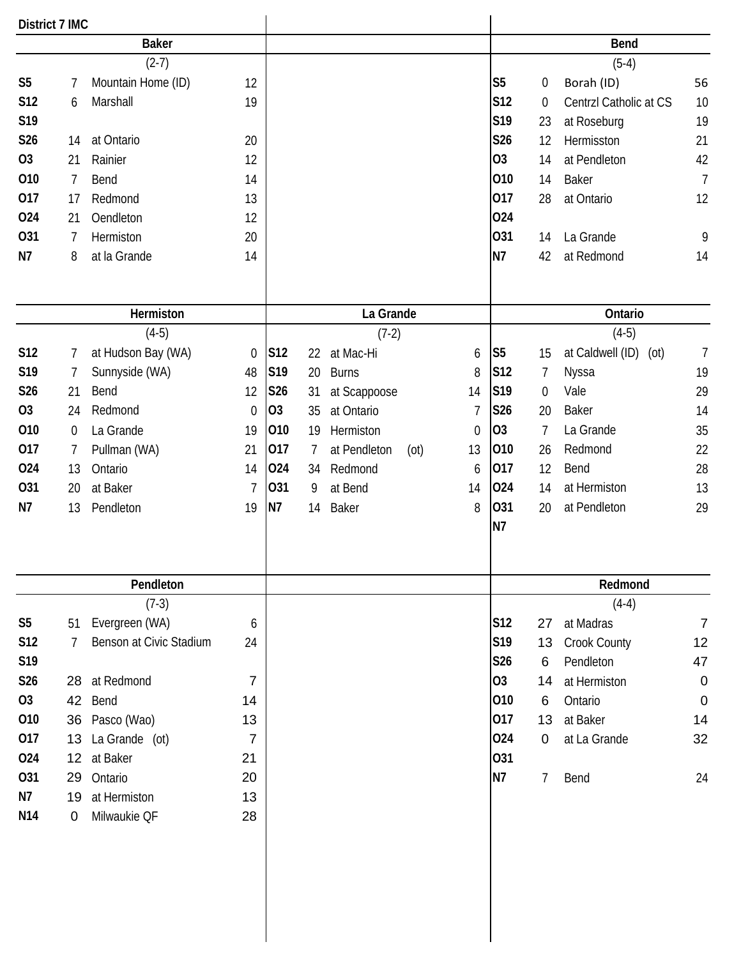| <b>District 7 IMC</b> |                  |                         |                |                 |    |              |      |             |                |                |                          |                |
|-----------------------|------------------|-------------------------|----------------|-----------------|----|--------------|------|-------------|----------------|----------------|--------------------------|----------------|
|                       |                  | <b>Baker</b>            |                |                 |    |              |      |             |                |                | <b>Bend</b>              |                |
|                       |                  | $(2-7)$                 |                |                 |    |              |      |             |                |                | $(5-4)$                  |                |
| S <sub>5</sub>        | 7                | Mountain Home (ID)      | 12             |                 |    |              |      |             | S <sub>5</sub> | 0              | Borah (ID)               | 56             |
| S12                   | 6                | Marshall                | 19             |                 |    |              |      |             | S12            | 0              | Centrzl Catholic at CS   | 10             |
| S19                   |                  |                         |                |                 |    |              |      |             | S19            | 23             | at Roseburg              | 19             |
| S26                   | 14               | at Ontario              | 20             |                 |    |              |      |             | S26            | 12             | Hermisston               | 21             |
| <b>O3</b>             | 21               | Rainier                 | 12             |                 |    |              |      |             | O <sub>3</sub> | 14             | at Pendleton             | 42             |
| 010                   | $\overline{7}$   | Bend                    | 14             |                 |    |              |      |             | 010            | 14             | <b>Baker</b>             | $\overline{7}$ |
| 017                   | 17               | Redmond                 | 13             |                 |    |              |      |             | 017            | 28             | at Ontario               | 12             |
| 024                   | 21               | Oendleton               | 12             |                 |    |              |      |             | 024            |                |                          |                |
| 031                   | 7                | Hermiston               | 20             |                 |    |              |      |             | 031            | 14             | La Grande                | 9              |
| N7                    | 8                | at la Grande            | 14             |                 |    |              |      |             | N7             | 42             | at Redmond               | 14             |
|                       |                  |                         |                |                 |    |              |      |             |                |                |                          |                |
|                       |                  | Hermiston               |                |                 |    | La Grande    |      |             |                |                | Ontario                  |                |
|                       |                  | $(4-5)$                 |                |                 |    | $(7-2)$      |      |             |                |                | $(4-5)$                  |                |
| <b>S12</b>            | 7                | at Hudson Bay (WA)      | $\mathbf 0$    | S <sub>12</sub> | 22 | at Mac-Hi    |      | 6           | S <sub>5</sub> | 15             | at Caldwell (ID)<br>(ot) | $\overline{7}$ |
| S19                   | 7                | Sunnyside (WA)          | 48             | S19             | 20 | <b>Burns</b> |      | 8           | S12            | 7              | Nyssa                    | 19             |
| S26                   | 21               | Bend                    | 12             | S26             | 31 | at Scappoose |      | 14          | S19            | 0              | Vale                     | 29             |
| <b>O3</b>             | 24               | Redmond                 | $\mathbf{0}$   | 03              | 35 | at Ontario   |      | 7           | S26            | 20             | <b>Baker</b>             | 14             |
| 010                   | $\boldsymbol{0}$ | La Grande               | 19             | 010             | 19 | Hermiston    |      | $\mathbf 0$ | O <sub>3</sub> | $\overline{7}$ | La Grande                | 35             |
| 017                   | 7                | Pullman (WA)            | 21             | 017             | 7  | at Pendleton | (ot) | 13          | 010            | 26             | Redmond                  | 22             |
| 024                   | 13               | Ontario                 | 14             | 024             | 34 | Redmond      |      | 6           | 017            | 12             | Bend                     | 28             |
| 031                   | 20               | at Baker                | 7              | 031             | 9  | at Bend      |      | 14          | 024            | 14             | at Hermiston             | 13             |
| N7                    | 13               | Pendleton               | 19             | N7              | 14 | Baker        |      | 8           | 031            | 20             | at Pendleton             | 29             |
|                       |                  |                         |                |                 |    |              |      |             | N7             |                |                          |                |
|                       |                  | Pendleton               |                |                 |    |              |      |             |                |                | Redmond                  |                |
|                       |                  | $(7-3)$                 |                |                 |    |              |      |             |                |                | $(4-4)$                  |                |
| S <sub>5</sub>        | 51               | Evergreen (WA)          | 6              |                 |    |              |      |             | S12            | 27             | at Madras                | $\overline{7}$ |
| <b>S12</b>            | 7                | Benson at Civic Stadium | 24             |                 |    |              |      |             | S19            | 13             | <b>Crook County</b>      | 12             |
| S19                   |                  |                         |                |                 |    |              |      |             | S26            | 6              | Pendleton                | 47             |
| S26                   | 28               | at Redmond              | 7              |                 |    |              |      |             | 03             | 14             | at Hermiston             | $\mathbf 0$    |
| 03                    | 42               | Bend                    | 14             |                 |    |              |      |             | 010            | 6              | Ontario                  | $\mathbf 0$    |
| 010                   |                  | 36 Pasco (Wao)          | 13             |                 |    |              |      |             | 017            | 13             | at Baker                 | 14             |
| 017                   | 13               | La Grande (ot)          | $\overline{7}$ |                 |    |              |      |             | 024            | $\mathbf 0$    | at La Grande             | 32             |
| 024                   |                  | 12 at Baker             | 21             |                 |    |              |      |             | 031            |                |                          |                |
| 031                   | 29               | Ontario                 | 20             |                 |    |              |      |             | <b>N7</b>      | 7              | Bend                     | 24             |
| N7                    | 19               | at Hermiston            | 13             |                 |    |              |      |             |                |                |                          |                |
| N <sub>14</sub>       | $\mathbf 0$      | Milwaukie QF            | 28             |                 |    |              |      |             |                |                |                          |                |
|                       |                  |                         |                |                 |    |              |      |             |                |                |                          |                |
|                       |                  |                         |                |                 |    |              |      |             |                |                |                          |                |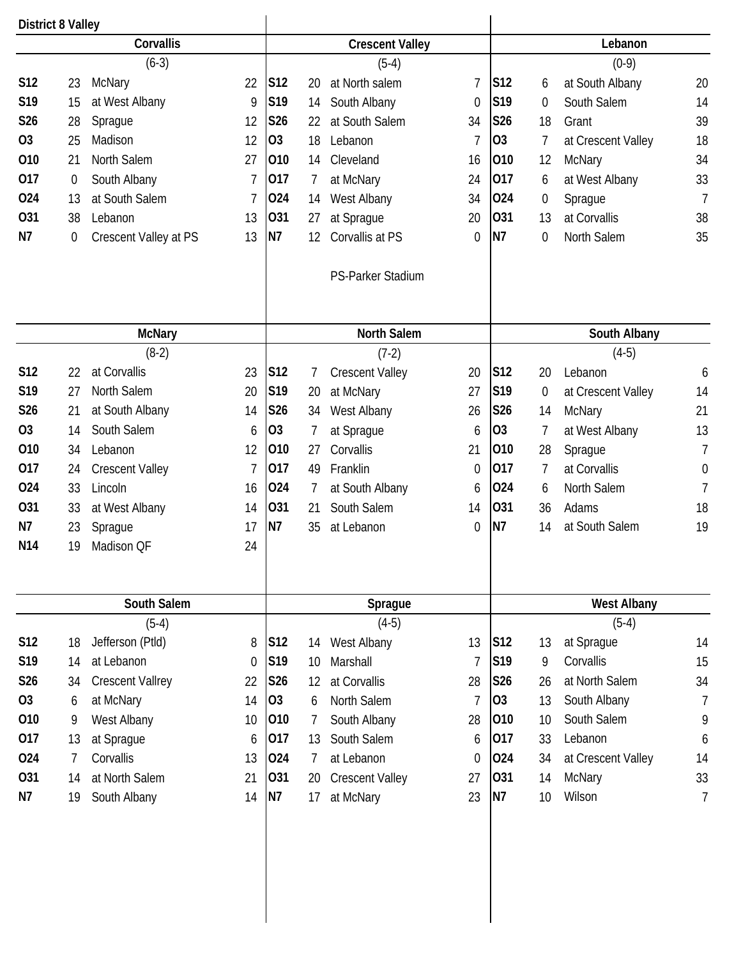|                 | <b>District 8 Valley</b><br>Corvallis |                         |                |                 | <b>Crescent Valley</b> |                        |                |                 |    |                    |                  |  |  |  |
|-----------------|---------------------------------------|-------------------------|----------------|-----------------|------------------------|------------------------|----------------|-----------------|----|--------------------|------------------|--|--|--|
|                 |                                       |                         |                |                 |                        |                        |                |                 |    | Lebanon            |                  |  |  |  |
|                 |                                       | $(6-3)$                 |                |                 |                        | $(5-4)$                |                |                 |    | $(0-9)$            |                  |  |  |  |
| S12             | 23                                    | McNary                  | 22             | S12             | 20                     | at North salem         | 7              | S12             | 6  | at South Albany    | 20               |  |  |  |
| S19             | 15                                    | at West Albany          | 9              | S19             | 14                     | South Albany           | $\mathbf 0$    | S19             | 0  | South Salem        | 14               |  |  |  |
| S26             | 28                                    | Sprague                 | 12             | S26             | 22                     | at South Salem         | 34             | S26             | 18 | Grant              | 39               |  |  |  |
| <b>O3</b>       | 25                                    | Madison                 | 12             | O <sub>3</sub>  | 18                     | Lebanon                | 7              | O <sub>3</sub>  | 7  | at Crescent Valley | 18               |  |  |  |
| 010             | 21                                    | North Salem             | 27             | 010             | 14                     | Cleveland              | 16             | 010             | 12 | McNary             | 34               |  |  |  |
| 017             | 0                                     | South Albany            | 7              | 017             | 7                      | at McNary              | 24             | 017             | 6  | at West Albany     | 33               |  |  |  |
| 024             | 13                                    | at South Salem          | 7              | 024             | 14                     | West Albany            | 34             | 024             | 0  | Sprague            | 7                |  |  |  |
| 031             | 38                                    | Lebanon                 | 13             | 031             | 27                     | at Sprague             | 20             | 031             | 13 | at Corvallis       | 38               |  |  |  |
| N7              | 0                                     | Crescent Valley at PS   | 13             | <b>N7</b>       | 12                     | Corvallis at PS        | $\overline{0}$ | N <sub>7</sub>  | 0  | North Salem        | 35               |  |  |  |
|                 |                                       |                         |                |                 |                        | PS-Parker Stadium      |                |                 |    |                    |                  |  |  |  |
|                 |                                       | <b>McNary</b>           |                |                 |                        | North Salem            |                |                 |    | South Albany       |                  |  |  |  |
|                 |                                       | $(8-2)$                 |                |                 |                        | $(7-2)$                |                |                 |    | $(4-5)$            |                  |  |  |  |
| <b>S12</b>      | 22                                    | at Corvallis            | 23             | S12             | 7                      | <b>Crescent Valley</b> | 20             | S12             | 20 | Lebanon            | 6                |  |  |  |
| S19             | 27                                    | North Salem             | 20             | S19             | 20                     | at McNary              | 27             | S19             | 0  | at Crescent Valley | 14               |  |  |  |
| S26             | 21                                    | at South Albany         | 14             | S26             | 34                     | West Albany            | 26             | S26             | 14 | McNary             | 21               |  |  |  |
| <b>O3</b>       | 14                                    | South Salem             | 6              | O <sub>3</sub>  | 7                      | at Sprague             | 6              | O <sub>3</sub>  | 7  | at West Albany     | 13               |  |  |  |
| 010             | 34                                    | Lebanon                 | 12             | 010             | 27                     | Corvallis              | 21             | 010             | 28 | Sprague            | 7                |  |  |  |
| 017             | 24                                    | <b>Crescent Valley</b>  | $\overline{7}$ | 017             | 49                     | Franklin               | $\mathbf 0$    | 017             | 7  | at Corvallis       | $\boldsymbol{0}$ |  |  |  |
| 024             | 33                                    | Lincoln                 | 16             | 024             | 7                      | at South Albany        | 6              | 024             | 6  | North Salem        | 7                |  |  |  |
| 031             | 33                                    | at West Albany          | 14             | 031             | 21                     | South Salem            | 14             | <b>O31</b>      | 36 | Adams              | 18               |  |  |  |
| N7              | 23                                    | Sprague                 | 17             | N7              | 35                     | at Lebanon             | $\mathbf 0$    | N <sub>7</sub>  | 14 | at South Salem     | 19               |  |  |  |
| N <sub>14</sub> |                                       | 19 Madison QF           | 24             |                 |                        |                        |                |                 |    |                    |                  |  |  |  |
|                 |                                       |                         |                |                 |                        |                        |                |                 |    |                    |                  |  |  |  |
|                 |                                       | South Salem             |                |                 |                        | Sprague                |                |                 |    | <b>West Albany</b> |                  |  |  |  |
|                 |                                       | $(5-4)$                 |                |                 |                        | $(4-5)$                |                |                 |    | $(5-4)$            |                  |  |  |  |
| S12             | 18                                    | Jefferson (Ptld)        | 8              | S <sub>12</sub> | 14                     | West Albany            | 13             | S <sub>12</sub> | 13 | at Sprague         | 14               |  |  |  |
| S19             | 14                                    | at Lebanon              | $\overline{0}$ | S19             | 10                     | Marshall               | $\overline{7}$ | S19             | 9  | Corvallis          | 15               |  |  |  |
| S26             | 34                                    | <b>Crescent Vallrey</b> | 22             | S26             | 12                     | at Corvallis           | 28             | S26             | 26 | at North Salem     | 34               |  |  |  |
| 03              | 6                                     | at McNary               | 14             | 03              | 6                      | North Salem            | 7              | O <sub>3</sub>  | 13 | South Albany       | $\overline{7}$   |  |  |  |
| 010             | 9                                     | West Albany             | 10             | 010             | 7                      | South Albany           | 28             | 010             | 10 | South Salem        | 9                |  |  |  |
| 017             | 13                                    | at Sprague              | 6              | 017             | 13                     | South Salem            | 6              | 017             | 33 | Lebanon            | 6                |  |  |  |
| 024             | 7                                     | Corvallis               | 13             | 024             | $\overline{7}$         | at Lebanon             | 0              | 024             | 34 | at Crescent Valley | 14               |  |  |  |
| 031             | 14                                    | at North Salem          | 21             | 031             | 20                     | <b>Crescent Valley</b> | 27             | 031             | 14 | <b>McNary</b>      | 33               |  |  |  |
| N7              | 19                                    | South Albany            | 14             | N7              | 17                     | at McNary              | 23             | <b>N7</b>       | 10 | Wilson             | $\overline{1}$   |  |  |  |
|                 |                                       |                         |                |                 |                        |                        |                |                 |    |                    |                  |  |  |  |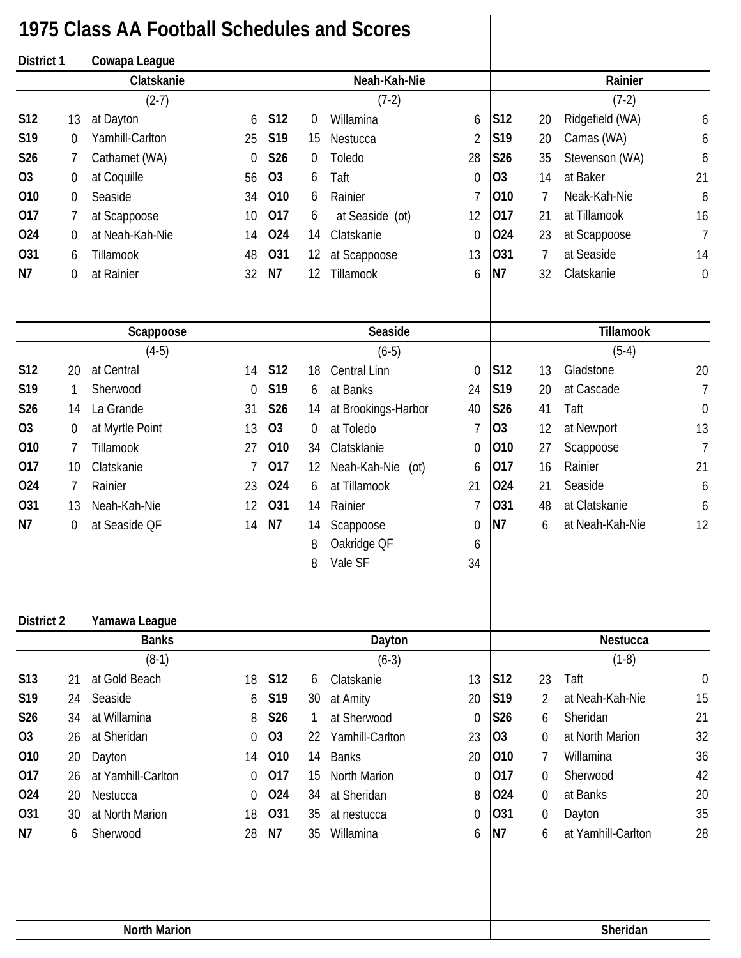## **1975 Class AA Football Schedules and Scores**

| District 1      |                     | Cowapa League      |                  |                |    |                      |                |                 |                |                    |                  |
|-----------------|---------------------|--------------------|------------------|----------------|----|----------------------|----------------|-----------------|----------------|--------------------|------------------|
|                 |                     | Clatskanie         |                  |                |    | Neah-Kah-Nie         |                |                 |                | Rainier            |                  |
|                 |                     | $(2-7)$            |                  |                |    | $(7-2)$              |                |                 |                | $(7-2)$            |                  |
| S12             | 13                  | at Dayton          | 6                | <b>S12</b>     | 0  | Willamina            | 6              | S <sub>12</sub> | 20             | Ridgefield (WA)    | 6                |
| S <sub>19</sub> | 0                   | Yamhill-Carlton    | 25               | S19            | 15 | Nestucca             | $\overline{2}$ | S19             | 20             | Camas (WA)         | 6                |
| S26             | 7                   | Cathamet (WA)      | $\boldsymbol{0}$ | S26            | 0  | Toledo               | 28             | S26             | 35             | Stevenson (WA)     | 6                |
| <b>O3</b>       | 0                   | at Coquille        | 56               | O <sub>3</sub> | 6  | Taft                 | $\theta$       | O <sub>3</sub>  | 14             | at Baker           | 21               |
| 010             | 0                   | Seaside            | 34               | 010            | 6  | Rainier              | 7              | 010             | 7              | Neak-Kah-Nie       | 6                |
| 017             | 7                   | at Scappoose       | 10               | 017            | 6  | at Seaside (ot)      | 12             | 017             | 21             | at Tillamook       | 16               |
| 024             | 0                   | at Neah-Kah-Nie    | 14               | 024            | 14 | Clatskanie           | $\theta$       | 024             | 23             | at Scappoose       | $\overline{1}$   |
| 031             | 6                   | Tillamook          | 48               | 031            | 12 | at Scappoose         | 13             | 031             | 7              | at Seaside         | 14               |
| N7              | 0                   | at Rainier         | 32               | N <sub>7</sub> | 12 | Tillamook            | 6              | N7              | 32             | Clatskanie         | $\mathbf 0$      |
|                 |                     |                    |                  |                |    |                      |                |                 |                |                    |                  |
|                 |                     | Scappoose          |                  |                |    | Seaside              |                |                 |                | <b>Tillamook</b>   |                  |
|                 |                     | $(4-5)$            |                  |                |    | $(6-5)$              |                |                 |                | $(5-4)$            |                  |
| S12             | 20                  | at Central         | 14               | S12            | 18 | Central Linn         | $\theta$       | S12             | 13             | Gladstone          | 20               |
| S19             | 1                   | Sherwood           | $\mathbf 0$      | S19            | 6  | at Banks             | 24             | S19             | 20             | at Cascade         | $\overline{1}$   |
| S26             | 14                  | La Grande          | 31               | S26            | 14 | at Brookings-Harbor  | 40             | S26             | 41             | Taft               | $\boldsymbol{0}$ |
| O <sub>3</sub>  | 0                   | at Myrtle Point    | 13               | O <sub>3</sub> | 0  | at Toledo            | $\overline{1}$ | <b>O3</b>       | 12             | at Newport         | 13               |
| 010             | 7                   | Tillamook          | 27               | 010            | 34 | Clatsklanie          | $\theta$       | 010             | 27             | Scappoose          | $\overline{1}$   |
| 017             | 10                  | Clatskanie         | 7                | 017            | 12 | Neah-Kah-Nie<br>(ot) | 6              | 017             | 16             | Rainier            | 21               |
| 024             | 7                   | Rainier            | 23               | 024            | 6  | at Tillamook         | 21             | 024             | 21             | Seaside            | 6                |
| 031             | 13                  | Neah-Kah-Nie       | 12               | 031            | 14 | Rainier              | $\overline{1}$ | 031             | 48             | at Clatskanie      | 6                |
| N7              | 0                   | at Seaside QF      | 14               | N7             | 14 | Scappoose            | $\mathbf 0$    | N7              | 6              | at Neah-Kah-Nie    | 12               |
|                 |                     |                    |                  |                | 8  | Oakridge QF          | 6              |                 |                |                    |                  |
|                 |                     |                    |                  |                | 8  | Vale SF              | 34             |                 |                |                    |                  |
| District 2      |                     | Yamawa League      |                  |                |    |                      |                |                 |                |                    |                  |
|                 |                     | <b>Banks</b>       |                  |                |    | Dayton               |                |                 |                | Nestucca           |                  |
|                 |                     | $(8-1)$            |                  |                |    | $(6-3)$              |                |                 |                | $(1-8)$            |                  |
| S <sub>13</sub> | 21                  | at Gold Beach      | 18               | <b>S12</b>     | 6  | Clatskanie           | 13             | S <sub>12</sub> | 23             | Taft               | $\boldsymbol{0}$ |
| S19             | 24                  | Seaside            | 6                | S19            | 30 | at Amity             | 20             | S19             | $\overline{2}$ | at Neah-Kah-Nie    | 15               |
| S26             | 34                  | at Willamina       | 8                | S26            | 1  | at Sherwood          | $\theta$       | S26             | 6              | Sheridan           | 21               |
| 03              | 26                  | at Sheridan        | 0                | O <sub>3</sub> | 22 | Yamhill-Carlton      | 23             | O <sub>3</sub>  | $\overline{0}$ | at North Marion    | 32               |
| 010             | 20                  | Dayton             | 14               | 010            | 14 | <b>Banks</b>         | 20             | 010             | 7              | Willamina          | 36               |
| 017             | 26                  | at Yamhill-Carlton | $\theta$         | 017            | 15 | <b>North Marion</b>  | $\theta$       | 017             | $\overline{0}$ | Sherwood           | 42               |
| 024             | 20                  | Nestucca           | 0                | 024            | 34 | at Sheridan          | 8              | 024             | 0              | at Banks           | 20               |
| 031             | 30                  | at North Marion    | 18               | 031            | 35 | at nestucca          | $\mathbf 0$    | 031             | 0              | Dayton             | 35               |
| N7              | 6                   | Sherwood           | 28               | N7             | 35 | Willamina            | 6              | <b>N7</b>       | 6              | at Yamhill-Carlton | 28               |
|                 |                     |                    |                  |                |    |                      |                |                 |                |                    |                  |
|                 | <b>North Marion</b> |                    |                  |                |    |                      |                |                 |                | Sheridan           |                  |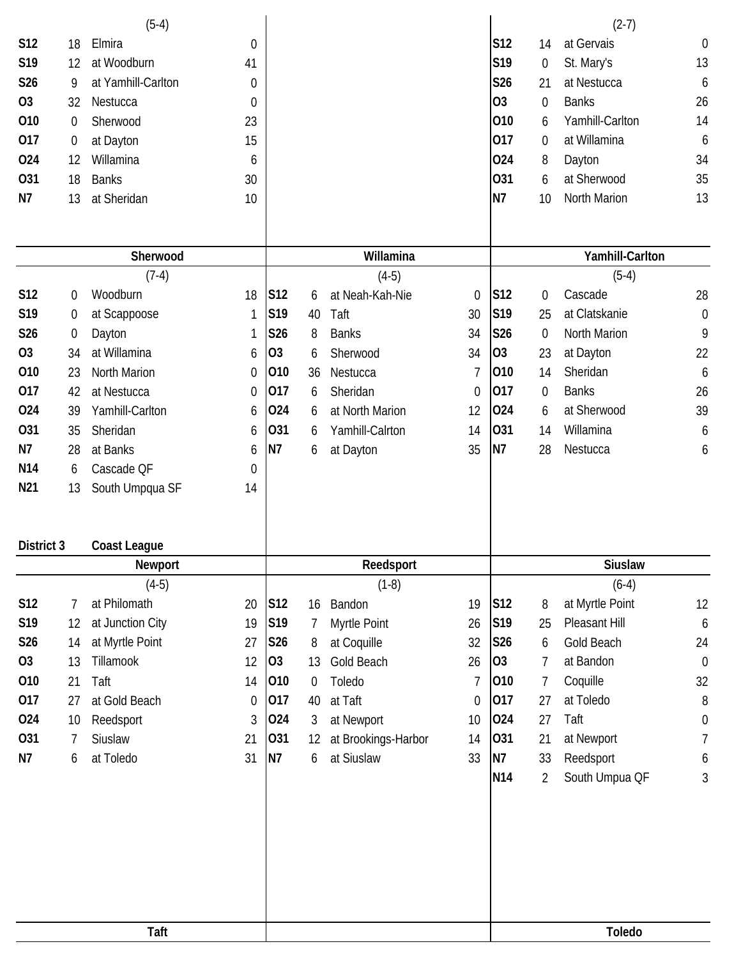|                 |                  | $(5-4)$             |                  |                |                  |                     |                |                 |                  | $(2-7)$         |                  |
|-----------------|------------------|---------------------|------------------|----------------|------------------|---------------------|----------------|-----------------|------------------|-----------------|------------------|
| S12             | 18               | Elmira              | $\boldsymbol{0}$ |                |                  |                     |                | S12             | 14               | at Gervais      | $\boldsymbol{0}$ |
| S19             | 12               | at Woodburn         | 41               |                |                  |                     |                | S19             | 0                | St. Mary's      | 13               |
| S26             | 9                | at Yamhill-Carlton  | 0                |                |                  |                     |                | S26             | 21               | at Nestucca     | 6                |
| 03              | 32               | Nestucca            | $\mathbf 0$      |                |                  |                     |                | O <sub>3</sub>  | $\boldsymbol{0}$ | <b>Banks</b>    | 26               |
| 010             | $\boldsymbol{0}$ | Sherwood            | 23               |                |                  |                     |                | 010             | 6                | Yamhill-Carlton | 14               |
| 017             | $\boldsymbol{0}$ | at Dayton           | 15               |                |                  |                     |                | 017             | 0                | at Willamina    | 6                |
| 024             | 12               | Willamina           | 6                |                |                  |                     |                | 024             | 8                | Dayton          | 34               |
| 031             | 18               | <b>Banks</b>        | 30               |                |                  |                     |                | 031             | 6                | at Sherwood     | 35               |
| N7              | 13               | at Sheridan         | 10               |                |                  |                     |                | N <sub>7</sub>  | 10               | North Marion    | 13               |
|                 |                  |                     |                  |                |                  |                     |                |                 |                  |                 |                  |
|                 |                  |                     |                  |                |                  |                     |                |                 |                  |                 |                  |
|                 |                  | Sherwood            |                  |                |                  | Willamina           |                |                 |                  | Yamhill-Carlton |                  |
|                 |                  | $(7-4)$             |                  |                |                  | $(4-5)$             |                |                 |                  | $(5-4)$         |                  |
| <b>S12</b>      | 0                | Woodburn            | 18               | S12            | 6                | at Neah-Kah-Nie     | $\mathbf 0$    | S12             | $\boldsymbol{0}$ | Cascade         | 28               |
| S <sub>19</sub> | 0                | at Scappoose        | 1                | S19            | 40               | Taft                | 30             | S19             | 25               | at Clatskanie   | $\boldsymbol{0}$ |
| S26             | 0                | Dayton              | 1                | S26            | 8                | <b>Banks</b>        | 34             | S26             | $\mathbf 0$      | North Marion    | 9                |
| O <sub>3</sub>  | 34               | at Willamina        | 6                | 03             | 6                | Sherwood            | 34             | 03              | 23               | at Dayton       | 22               |
| 010             | 23               | <b>North Marion</b> | $\mathbf 0$      | 010            | 36               | Nestucca            | 7              | 010             | 14               | Sheridan        | 6                |
| 017             | 42               | at Nestucca         | $\mathbf 0$      | 017            | 6                | Sheridan            | $\mathbf 0$    | 017             | $\boldsymbol{0}$ | <b>Banks</b>    | 26               |
| 024             | 39               | Yamhill-Carlton     | 6                | 024            | 6                | at North Marion     | 12             | 024             | 6                | at Sherwood     | 39               |
| 031             | 35               | Sheridan            | 6                | 031            | 6                | Yamhill-Calrton     | 14             | 031             | 14               | Willamina       | 6                |
| N7              | 28               | at Banks            | 6                | N <sub>7</sub> | 6                | at Dayton           | 35             | N7              | 28               | Nestucca        | 6                |
| N <sub>14</sub> | 6                | Cascade QF          | $\mathbf 0$      |                |                  |                     |                |                 |                  |                 |                  |
| N <sub>21</sub> | 13               | South Umpqua SF     | 14               |                |                  |                     |                |                 |                  |                 |                  |
|                 |                  |                     |                  |                |                  |                     |                |                 |                  |                 |                  |
|                 |                  |                     |                  |                |                  |                     |                |                 |                  |                 |                  |
| District 3      |                  | <b>Coast League</b> |                  |                |                  |                     |                |                 |                  |                 |                  |
|                 |                  | Newport             |                  |                |                  | Reedsport           |                |                 |                  | <b>Siuslaw</b>  |                  |
|                 |                  | $(4-5)$             |                  |                |                  | $(1-8)$             |                |                 |                  | $(6-4)$         |                  |
| <b>S12</b>      | 7                | at Philomath        | 20               | <b>S12</b>     | 16               | Bandon              | 19             | S <sub>12</sub> | 8                | at Myrtle Point | 12               |
| S19             | 12               | at Junction City    | 19               | S19            | 7                | Myrtle Point        | 26             | S19             | 25               | Pleasant Hill   | 6                |
| S26             | 14               | at Myrtle Point     | 27               | S26            | 8                | at Coquille         | 32             | S26             | 6                | Gold Beach      | 24               |
| <b>O3</b>       | 13               | Tillamook           | 12               | 03             | 13               | Gold Beach          | 26             | 03              | 7                | at Bandon       | $\mathbf 0$      |
| 010             | 21               | Taft                | 14               | 010            | $\boldsymbol{0}$ | Toledo              | $\overline{1}$ | 010             | 7                | Coquille        | 32               |
| 017             | 27               | at Gold Beach       | 0                | 017            | 40               | at Taft             | $\mathbf 0$    | 017             | 27               | at Toledo       | 8                |
| 024             | 10               | Reedsport           | 3                | 024            | 3                | at Newport          | 10             | 024             | 27               | Taft            | $\boldsymbol{0}$ |
| 031             | 7                | Siuslaw             | 21               | 031            | 12               | at Brookings-Harbor | 14             | 031             | 21               | at Newport      | 7                |
| N7              | 6                | at Toledo           | 31               | N <sub>7</sub> | 6                | at Siuslaw          | 33             | N7              | 33               | Reedsport       | 6                |
|                 |                  |                     |                  |                |                  |                     |                | <b>N14</b>      | $\overline{2}$   | South Umpua QF  | 3                |
|                 |                  |                     |                  |                |                  |                     |                |                 |                  |                 |                  |
|                 |                  |                     |                  |                |                  |                     |                |                 |                  |                 |                  |
|                 |                  |                     |                  |                |                  |                     |                |                 |                  |                 |                  |
|                 |                  |                     |                  |                |                  |                     |                |                 |                  |                 |                  |
|                 |                  |                     |                  |                |                  |                     |                |                 |                  |                 |                  |
|                 |                  |                     |                  |                |                  |                     |                |                 |                  |                 |                  |
|                 |                  |                     |                  |                |                  |                     |                |                 |                  |                 |                  |
|                 |                  | Taft                |                  |                |                  |                     |                |                 |                  | <b>Toledo</b>   |                  |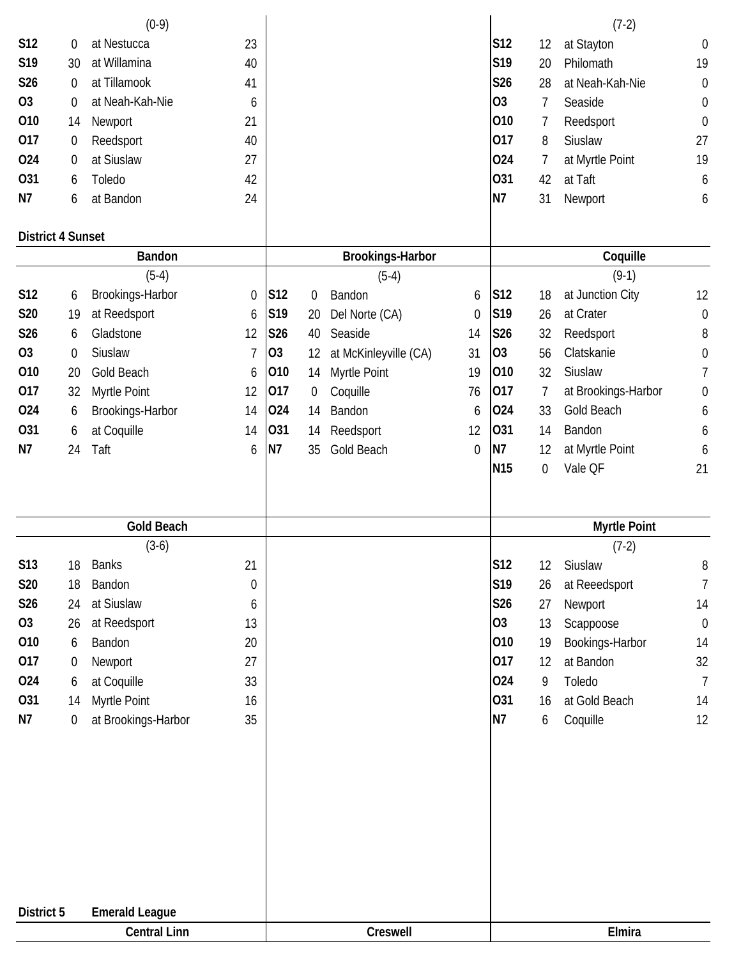|                          |                  | $(0-9)$               |                  |            |                  |                         |                  |                 |             | $(7-2)$             |                  |
|--------------------------|------------------|-----------------------|------------------|------------|------------------|-------------------------|------------------|-----------------|-------------|---------------------|------------------|
| <b>S12</b>               | 0                | at Nestucca           | 23               |            |                  |                         |                  | S12             | 12          | at Stayton          | $\boldsymbol{0}$ |
| S19                      | 30               | at Willamina          | 40               |            |                  |                         |                  | S19             | 20          | Philomath           | 19               |
| S26                      | $\boldsymbol{0}$ | at Tillamook          | 41               |            |                  |                         |                  | S26             | 28          | at Neah-Kah-Nie     | $\mathbf 0$      |
| <b>O3</b>                | $\mathbf 0$      | at Neah-Kah-Nie       | 6                |            |                  |                         |                  | <b>O3</b>       | 7           | Seaside             | $\boldsymbol{0}$ |
| 010                      | 14               | Newport               | 21               |            |                  |                         |                  | 010             | 7           | Reedsport           | $\boldsymbol{0}$ |
| 017                      | 0                | Reedsport             | 40               |            |                  |                         |                  | 017             | 8           | Siuslaw             | 27               |
| 024                      | $\boldsymbol{0}$ | at Siuslaw            | 27               |            |                  |                         |                  | 024             | 7           | at Myrtle Point     | 19               |
| 031                      | 6                | Toledo                | 42               |            |                  |                         |                  | 031             | 42          | at Taft             | 6                |
| N7                       | 6                | at Bandon             | 24               |            |                  |                         |                  | N7              | 31          | Newport             | 6                |
|                          |                  |                       |                  |            |                  |                         |                  |                 |             |                     |                  |
| <b>District 4 Sunset</b> |                  |                       |                  |            |                  |                         |                  |                 |             |                     |                  |
|                          |                  | <b>Bandon</b>         |                  |            |                  | <b>Brookings-Harbor</b> |                  |                 |             | Coquille            |                  |
|                          |                  | $(5-4)$               |                  |            |                  | $(5-4)$                 |                  |                 |             | $(9-1)$             |                  |
| S12                      | 6                | Brookings-Harbor      | $\mathbf 0$      | S12        | 0                | Bandon                  | 6                | S12             | 18          | at Junction City    | 12               |
| S20                      | 19               | at Reedsport          | 6                | S19        | 20               | Del Norte (CA)          | $\mathbf 0$      | S19             | 26          | at Crater           | $\boldsymbol{0}$ |
| S26                      | 6                | Gladstone             | 12               | <b>S26</b> | 40               | Seaside                 | 14               | S26             | 32          | Reedsport           | 8                |
| <b>O3</b>                | $\boldsymbol{0}$ | Siuslaw               | $\overline{7}$   | 03         | 12               | at McKinleyville (CA)   | 31               | 03              | 56          | Clatskanie          | $\boldsymbol{0}$ |
| 010                      | 20               | Gold Beach            | 6                | 010        | 14               | Myrtle Point            | 19               | 010             | 32          | Siuslaw             | 7                |
| 017                      | 32               | Myrtle Point          | 12               | 017        | $\boldsymbol{0}$ | Coquille                | 76               | 017             | 7           | at Brookings-Harbor | $\boldsymbol{0}$ |
| 024                      | 6                | Brookings-Harbor      | 14               | 024        | 14               | Bandon                  | 6                | 024             | 33          | Gold Beach          | 6                |
| 031                      | 6                | at Coquille           | 14               | 031        | 14               | Reedsport               | 12               | 031             | 14          | Bandon              | 6                |
| N7                       | 24               | Taft                  | 6                | N7         | 35               | Gold Beach              | $\boldsymbol{0}$ | N7              | 12          | at Myrtle Point     | 6                |
|                          |                  |                       |                  |            |                  |                         |                  | N <sub>15</sub> | $\mathbf 0$ | Vale QF             | 21               |
|                          |                  |                       |                  |            |                  |                         |                  |                 |             |                     |                  |
|                          |                  |                       |                  |            |                  |                         |                  |                 |             |                     |                  |
|                          |                  | <b>Gold Beach</b>     |                  |            |                  |                         |                  |                 |             | <b>Myrtle Point</b> |                  |
|                          |                  | $(3-6)$               |                  |            |                  |                         |                  |                 |             | $(7-2)$             |                  |
| S13                      | 18               | <b>Banks</b>          | 21               |            |                  |                         |                  | <b>S12</b>      | 12          | Siuslaw             | 8                |
| S20                      | 18               | Bandon                | $\boldsymbol{0}$ |            |                  |                         |                  | S19             | 26          | at Reeedsport       | 7                |
| S26                      | 24               | at Siuslaw            | 6                |            |                  |                         |                  | S26             | 27          | Newport             | 14               |
| <b>O3</b>                | 26               | at Reedsport          | 13               |            |                  |                         |                  | 03              | 13          | Scappoose           | $\boldsymbol{0}$ |
| 010                      | 6                | Bandon                | 20               |            |                  |                         |                  | 010             | 19          | Bookings-Harbor     | 14               |
| 017                      | $\boldsymbol{0}$ | Newport               | 27               |            |                  |                         |                  | 017             | 12          | at Bandon           | 32               |
| 024                      | 6                | at Coquille           | 33               |            |                  |                         |                  | 024             | 9           | Toledo              | $\overline{7}$   |
| 031                      | 14               | Myrtle Point          | 16               |            |                  |                         |                  | 031             | 16          | at Gold Beach       | 14               |
| N7                       | $\boldsymbol{0}$ | at Brookings-Harbor   | 35               |            |                  |                         |                  | N7              | 6           | Coquille            | 12               |
|                          |                  |                       |                  |            |                  |                         |                  |                 |             |                     |                  |
|                          |                  |                       |                  |            |                  |                         |                  |                 |             |                     |                  |
|                          |                  |                       |                  |            |                  |                         |                  |                 |             |                     |                  |
|                          |                  |                       |                  |            |                  |                         |                  |                 |             |                     |                  |
|                          |                  |                       |                  |            |                  |                         |                  |                 |             |                     |                  |
|                          |                  |                       |                  |            |                  |                         |                  |                 |             |                     |                  |
|                          |                  |                       |                  |            |                  |                         |                  |                 |             |                     |                  |
|                          |                  |                       |                  |            |                  |                         |                  |                 |             |                     |                  |
|                          |                  |                       |                  |            |                  |                         |                  |                 |             |                     |                  |
| District 5               |                  | <b>Emerald League</b> |                  |            |                  |                         |                  |                 |             |                     |                  |
|                          |                  |                       |                  |            |                  |                         |                  |                 |             |                     |                  |
|                          |                  | <b>Central Linn</b>   |                  |            |                  | Creswell                |                  |                 |             | Elmira              |                  |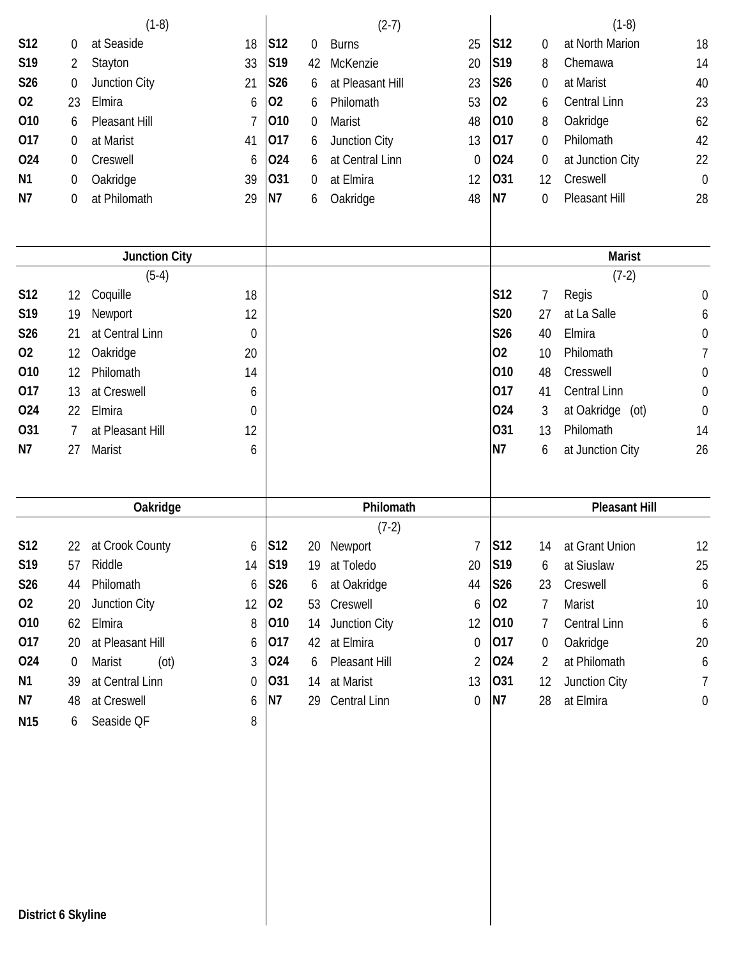|                |                  | $(1-8)$              |          |                |    | $(2-7)$             |                  |                 |                | $(1-8)$                   |                  |
|----------------|------------------|----------------------|----------|----------------|----|---------------------|------------------|-----------------|----------------|---------------------------|------------------|
| S12            | 0                | at Seaside           | 18       | S12            | 0  | <b>Burns</b>        | 25               | S <sub>12</sub> | 0              | at North Marion           | 18               |
| S19            | 2                | Stayton              | 33       | S19            | 42 | McKenzie            | 20               | S19             | 8              | Chemawa                   | 14               |
| S26            | $\boldsymbol{0}$ | Junction City        | 21       | S26            | 6  | at Pleasant Hill    | 23               | <b>S26</b>      | 0              | at Marist                 | 40               |
| 02             | 23               | Elmira               | 6        | 02             | 6  | Philomath           | 53               | 02              | 6              | Central Linn              | 23               |
| 010            | 6                | Pleasant Hill        | 7        | 010            | 0  | Marist              | 48               | 010             | 8              | Oakridge                  | 62               |
| 017            | 0                | at Marist            | 41       | 017            | 6  | Junction City       | 13               | 017             | 0              | Philomath                 | 42               |
| 024            | 0                | Creswell             | 6        | 024            | 6  | at Central Linn     | $\boldsymbol{0}$ | 024             | $\overline{0}$ | at Junction City          | 22               |
| N <sub>1</sub> | 0                | Oakridge             | 39       | 031            | 0  | at Elmira           | 12               | 031             | 12             | Creswell                  | $\overline{0}$   |
| N7             | $\boldsymbol{0}$ | at Philomath         | 29       | N <sub>7</sub> | 6  | Oakridge            | 48               | N7              | $\mathbf 0$    | Pleasant Hill             | 28               |
|                |                  | <b>Junction City</b> |          |                |    |                     |                  |                 |                | <b>Marist</b>             |                  |
|                |                  | $(5-4)$              |          |                |    |                     |                  |                 |                | $(7-2)$                   |                  |
| S12            | 12               | Coquille             | 18       |                |    |                     |                  | S12             | 7              | Regis                     | $\boldsymbol{0}$ |
| S19            | 19               | Newport              | 12       |                |    |                     |                  | <b>S20</b>      | 27             | at La Salle               | 6                |
| S26            | 21               | at Central Linn      | 0        |                |    |                     |                  | S26             | 40             | Elmira                    | $\boldsymbol{0}$ |
| 02             | 12               | Oakridge             | 20       |                |    |                     |                  | 02              | 10             | Philomath                 | 7                |
| 010            | 12               | Philomath            | 14       |                |    |                     |                  | 010             | 48             | Cresswell                 | $\boldsymbol{0}$ |
| 017            | 13               | at Creswell          | 6        |                |    |                     |                  | 017             | 41             | Central Linn              | $\mathbf 0$      |
| 024            | 22               | Elmira               | 0        |                |    |                     |                  | 024             | 3              | at Oakridge<br>$($ ot $)$ | $\mathbf 0$      |
| 031            | $\overline{7}$   | at Pleasant Hill     | 12       |                |    |                     |                  | 031             | 13             | Philomath                 | 14               |
| N7             | 27               | Marist               | 6        |                |    |                     |                  | N7              | 6              | at Junction City          | 26               |
|                |                  |                      |          |                |    | Philomath           |                  |                 |                | <b>Pleasant Hill</b>      |                  |
|                |                  | Oakridge             |          |                |    | $(7-2)$             |                  |                 |                |                           |                  |
| S12            | 22               | at Crook County      | 6        | S12            | 20 | Newport             | $\overline{1}$   | S12             | 14             | at Grant Union            | 12               |
| S19            | 57               | Riddle               | 14       | S19            | 19 | at Toledo           | 20               | S19             | 6              | at Siuslaw                | 25               |
| S26            | 44               | Philomath            | 6        | S26            | 6  | at Oakridge         | 44               | <b>S26</b>      | 23             | Creswell                  | 6                |
| 02             | 20               | Junction City        | 12       | 02             | 53 | Creswell            | 6                | 02              | 7              | Marist                    | 10               |
| 010            | 62               | Elmira               | 8        | 010            | 14 | Junction City       | 12               | 010             | 7              | Central Linn              | 6                |
| 017            | 20               | at Pleasant Hill     | 6        | 017            | 42 | at Elmira           | 0                | 017             | $\overline{0}$ | Oakridge                  | 20               |
| 024            | $\overline{0}$   | Marist<br>(ot)       | 3        | 024            | 6  | Pleasant Hill       | 2                | 024             | 2              | at Philomath              | 6                |
| N <sub>1</sub> | 39               | at Central Linn      | $\theta$ | 031            | 14 | at Marist           | 13               | 031             | 12             | Junction City             | 7                |
| N7             | 48               | at Creswell          | 6        | N7             | 29 | <b>Central Linn</b> | 0                | N7              | 28             | at Elmira                 | 0                |
| N15            | 6                | Seaside QF           | 8        |                |    |                     |                  |                 |                |                           |                  |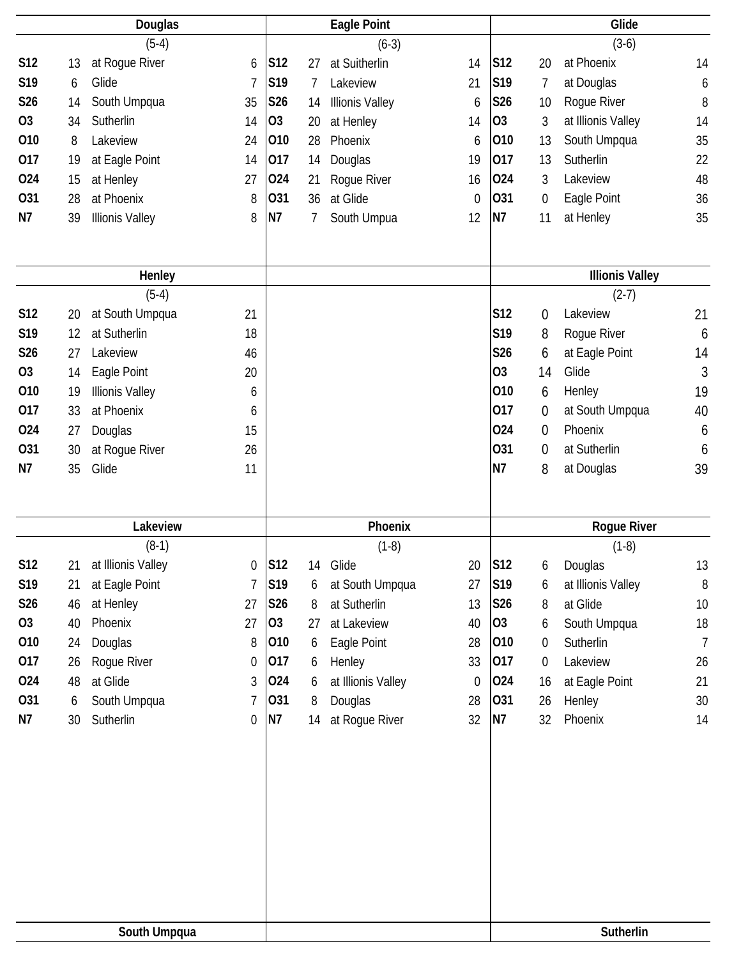|                |    | Douglas                |                  |                 |    | <b>Eagle Point</b>     |                |                 |                  | Glide                  |                |
|----------------|----|------------------------|------------------|-----------------|----|------------------------|----------------|-----------------|------------------|------------------------|----------------|
|                |    | $(5-4)$                |                  |                 |    | $(6-3)$                |                |                 |                  | $(3-6)$                |                |
| <b>S12</b>     | 13 | at Rogue River         | 6                | <b>S12</b>      | 27 | at Suitherlin          | 14             | S12             | 20               | at Phoenix             | 14             |
| S19            | 6  | Glide                  | 7                | S <sub>19</sub> | 7  | Lakeview               | 21             | S19             | 7                | at Douglas             | 6              |
| S26            | 14 | South Umpqua           | 35               | S26             | 14 | <b>Illionis Valley</b> | 6              | <b>S26</b>      | 10               | Rogue River            | 8              |
| O <sub>3</sub> | 34 | Sutherlin              | 14               | O <sub>3</sub>  | 20 | at Henley              | 14             | 03              | 3                | at Illionis Valley     | 14             |
| 010            | 8  | Lakeview               | 24               | 010             | 28 | Phoenix                | 6              | 010             | 13               | South Umpqua           | 35             |
| 017            | 19 | at Eagle Point         | 14               | 017             | 14 | Douglas                | 19             | 017             | 13               | Sutherlin              | 22             |
| 024            | 15 | at Henley              | 27               | 024             | 21 | Rogue River            | 16             | 024             | 3                | Lakeview               | 48             |
| 031            | 28 | at Phoenix             | 8                | 031             | 36 | at Glide               | $\overline{0}$ | 031             | $\boldsymbol{0}$ | Eagle Point            | 36             |
| N7             | 39 | <b>Illionis Valley</b> | 8                | <b>N7</b>       | 7  | South Umpua            | 12             | N7              | 11               | at Henley              | 35             |
|                |    |                        |                  |                 |    |                        |                |                 |                  |                        |                |
|                |    |                        |                  |                 |    |                        |                |                 |                  |                        |                |
|                |    | Henley                 |                  |                 |    |                        |                |                 |                  | <b>Illionis Valley</b> |                |
|                |    | $(5-4)$                |                  |                 |    |                        |                |                 |                  | $(2-7)$                |                |
| <b>S12</b>     | 20 | at South Umpqua        | 21               |                 |    |                        |                | S12             | 0                | Lakeview               | 21             |
| S19            | 12 | at Sutherlin           | 18               |                 |    |                        |                | S19             | 8                | Rogue River            | 6              |
| S26            | 27 | Lakeview               | 46               |                 |    |                        |                | S26             | 6                | at Eagle Point         | 14             |
| O <sub>3</sub> | 14 | Eagle Point            | 20               |                 |    |                        |                | O <sub>3</sub>  | 14               | Glide                  | 3              |
| 010            | 19 | <b>Illionis Valley</b> | 6                |                 |    |                        |                | 010             | 6                | Henley                 | 19             |
| 017            | 33 | at Phoenix             | 6                |                 |    |                        |                | 017             | 0                | at South Umpqua        | 40             |
| 024            | 27 | Douglas                | 15               |                 |    |                        |                | 024             | 0                | Phoenix                | 6              |
| 031            | 30 | at Rogue River         | 26               |                 |    |                        |                | 031             | 0                | at Sutherlin           | 6              |
| N7             | 35 | Glide                  | 11               |                 |    |                        |                | N <sub>7</sub>  | 8                | at Douglas             | 39             |
|                |    |                        |                  |                 |    |                        |                |                 |                  |                        |                |
|                |    | Lakeview               |                  |                 |    | Phoenix                |                |                 |                  | <b>Rogue River</b>     |                |
|                |    | $(8-1)$                |                  |                 |    | $(1-8)$                |                |                 |                  | $(1-8)$                |                |
|                |    |                        |                  |                 |    |                        |                |                 |                  | Douglas                | 13             |
| <b>S12</b>     | 21 | at Illionis Valley     | $\overline{0}$   | <b>S12</b>      | 14 | Glide                  | 20             | S <sub>12</sub> | 6                |                        |                |
| S19            | 21 | at Eagle Point         | 7                | S19             | 6  | at South Umpqua        | 27             | S19             | 6                | at Illionis Valley     | $\, 8$         |
| S26            | 46 | at Henley              | 27               | S26             | 8  | at Sutherlin           | 13             | S26             | 8                | at Glide               | 10             |
| 03             | 40 | Phoenix                | 27               | 03              | 27 | at Lakeview            | 40             | 03              | 6                | South Umpqua           | 18             |
| 010            | 24 | Douglas                | 8                | 010             | 6  | Eagle Point            | 28             | 010             | 0                | Sutherlin              | $\overline{7}$ |
| 017            | 26 | Rogue River            | $\boldsymbol{0}$ | 017             | 6  | Henley                 | 33             | 017             | 0                | Lakeview               | 26             |
| 024            | 48 | at Glide               | 3                | 024             | 6  | at Illionis Valley     | 0              | 024             | 16               | at Eagle Point         | 21             |
| 031            | 6  | South Umpqua           | $\overline{7}$   | 031             | 8  | Douglas                | 28             | 031             | 26               | Henley                 | 30             |
| N7             | 30 | Sutherlin              | $\boldsymbol{0}$ | <b>N7</b>       | 14 | at Rogue River         | 32             | N7              | 32               | Phoenix                | 14             |
|                |    |                        |                  |                 |    |                        |                |                 |                  |                        |                |
|                |    |                        |                  |                 |    |                        |                |                 |                  |                        |                |
|                |    |                        |                  |                 |    |                        |                |                 |                  |                        |                |
|                |    |                        |                  |                 |    |                        |                |                 |                  |                        |                |
|                |    |                        |                  |                 |    |                        |                |                 |                  |                        |                |
|                |    |                        |                  |                 |    |                        |                |                 |                  |                        |                |
|                |    |                        |                  |                 |    |                        |                |                 |                  |                        |                |
|                |    |                        |                  |                 |    |                        |                |                 |                  |                        |                |
|                |    |                        |                  |                 |    |                        |                |                 |                  |                        |                |
|                |    | South Umpqua           |                  |                 |    |                        |                |                 |                  | Sutherlin              |                |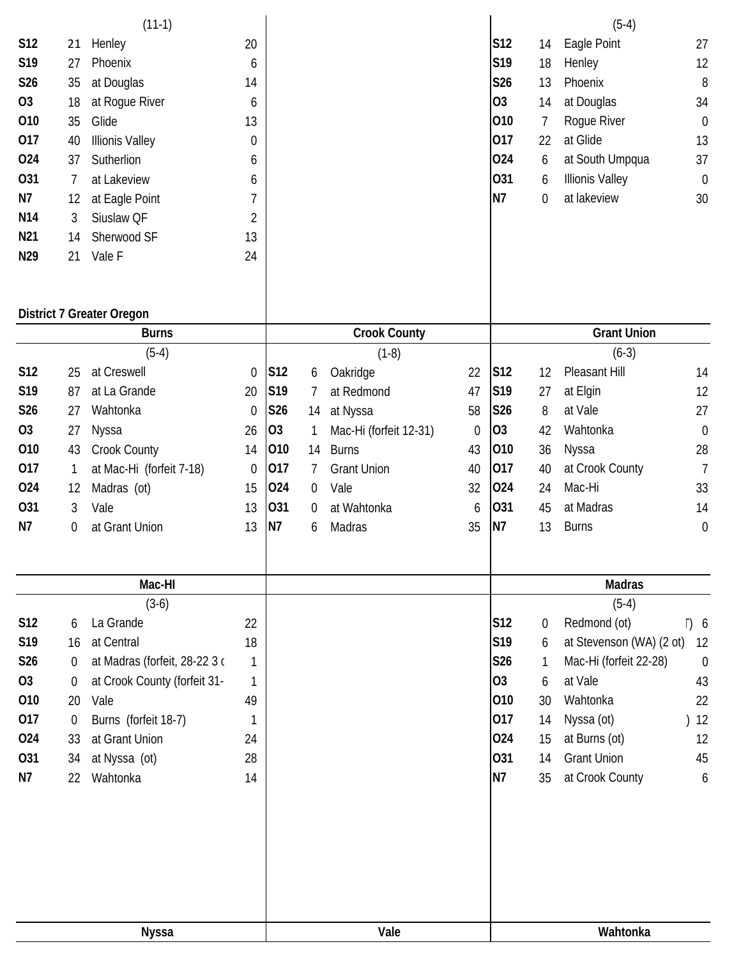|                 |                  | $(11-1)$                         |                  |                |                |                        |             |                 |    | $(5-4)$                  |                |
|-----------------|------------------|----------------------------------|------------------|----------------|----------------|------------------------|-------------|-----------------|----|--------------------------|----------------|
| <b>S12</b>      | 21               | Henley                           | 20               |                |                |                        |             | S12             | 14 | Eagle Point              | 27             |
| S19             | 27               | Phoenix                          | 6                |                |                |                        |             | S19             | 18 | Henley                   | 12             |
| S26             | 35               | at Douglas                       | 14               |                |                |                        |             | S26             | 13 | Phoenix                  | 8              |
| O <sub>3</sub>  | 18               | at Rogue River                   | 6                |                |                |                        |             | O <sub>3</sub>  | 14 | at Douglas               | 34             |
| 010             | 35               | Glide                            | 13               |                |                |                        |             | 010             | 7  | Rogue River              | $\mathbf 0$    |
| 017             | 40               | <b>Illionis Valley</b>           | $\boldsymbol{0}$ |                |                |                        |             | 017             | 22 | at Glide                 | 13             |
| 024             | 37               | Sutherlion                       | 6                |                |                |                        |             | 024             | 6  | at South Umpqua          | 37             |
| 031             | 7                | at Lakeview                      | 6                |                |                |                        |             | 031             | 6  | <b>Illionis Valley</b>   | $\mathbf 0$    |
| N7              | 12               | at Eagle Point                   | 7                |                |                |                        |             | N <sub>7</sub>  | 0  | at lakeview              | 30             |
| N14             | 3                | Siuslaw QF                       | $\overline{2}$   |                |                |                        |             |                 |    |                          |                |
| N <sub>21</sub> | 14               | Sherwood SF                      | 13               |                |                |                        |             |                 |    |                          |                |
| N29             |                  |                                  |                  |                |                |                        |             |                 |    |                          |                |
|                 | 21               | Vale F                           | 24               |                |                |                        |             |                 |    |                          |                |
|                 |                  | <b>District 7 Greater Oregon</b> |                  |                |                |                        |             |                 |    |                          |                |
|                 |                  | <b>Burns</b>                     |                  |                |                | <b>Crook County</b>    |             |                 |    | <b>Grant Union</b>       |                |
|                 |                  | $(5-4)$                          |                  |                |                | $(1-8)$                |             |                 |    | $(6-3)$                  |                |
| <b>S12</b>      | 25               | at Creswell                      | $\mathbf 0$      | S12            | 6              | Oakridge               | 22          | S12             | 12 | Pleasant Hill            | 14             |
| S19             | 87               | at La Grande                     | 20               | S19            | 7              | at Redmond             | 47          | S19             | 27 | at Elgin                 | 12             |
| S26             | 27               | Wahtonka                         | $\mathbf 0$      | <b>S26</b>     | 14             | at Nyssa               | 58          | S26             | 8  | at Vale                  | 27             |
| O <sub>3</sub>  | 27               | Nyssa                            | 26               | 03             | 1              | Mac-Hi (forfeit 12-31) | $\mathbf 0$ | 03              | 42 | Wahtonka                 | $\mathbf 0$    |
| 010             | 43               | Crook County                     | 14               | 010            | 14             | <b>Burns</b>           | 43          | 010             | 36 | Nyssa                    | 28             |
| 017             | 1                | at Mac-Hi (forfeit 7-18)         | $\mathbf 0$      | 017            | 7              | <b>Grant Union</b>     | 40          | 017             | 40 | at Crook County          | $\overline{7}$ |
| 024             | 12               | Madras (ot)                      | 15               | 024            | $\mathbf 0$    | Vale                   | 32          | 024             | 24 | Mac-Hi                   | 33             |
| 031             | 3                | Vale                             | 13               | 031            | $\overline{0}$ | at Wahtonka            | 6           | 031             | 45 | at Madras                | 14             |
| N7              | 0                | at Grant Union                   | 13               | N <sub>7</sub> | 6              | Madras                 | 35          | N7              | 13 | <b>Burns</b>             | $\mathbf 0$    |
|                 |                  |                                  |                  |                |                |                        |             |                 |    |                          |                |
|                 |                  | Mac-HI                           |                  |                |                |                        |             |                 |    | <b>Madras</b>            |                |
|                 |                  | $(3-6)$                          |                  |                |                |                        |             |                 |    | $(5-4)$                  |                |
| S12             | 6                | La Grande                        | 22               |                |                |                        |             | S12             | 0  | Redmond (ot)             | T) 6           |
| S19             | 16               | at Central                       | 18               |                |                |                        |             | S <sub>19</sub> | 6  | at Stevenson (WA) (2 ot) | 12             |
| S26             | $\Omega$         | at Madras (forfeit, 28-22 3 c    | $\mathbf{1}$     |                |                |                        |             | S26             | 1  | Mac-Hi (forfeit 22-28)   | $\mathbf 0$    |
| 03              | $\overline{0}$   | at Crook County (forfeit 31-     | 1                |                |                |                        |             | 03              | 6  | at Vale                  | 43             |
| 010             | 20               | Vale                             | 49               |                |                |                        |             | 010             | 30 | Wahtonka                 | 22             |
| 017             | $\boldsymbol{0}$ | Burns (forfeit 18-7)             | 1                |                |                |                        |             | 017             | 14 | Nyssa (ot)               | 12             |
| 024             | 33               | at Grant Union                   | 24               |                |                |                        |             | 024             | 15 | at Burns (ot)            | 12             |
| 031             | 34               | at Nyssa (ot)                    | 28               |                |                |                        |             | 031             | 14 | <b>Grant Union</b>       | 45             |
| N7              | 22               | Wahtonka                         | 14               |                |                |                        |             | <b>N7</b>       | 35 | at Crook County          | 6              |
|                 |                  |                                  |                  |                |                |                        |             |                 |    |                          |                |
|                 |                  |                                  |                  |                |                |                        |             |                 |    |                          |                |
|                 |                  | <b>Nyssa</b>                     |                  |                |                | Vale                   |             |                 |    | Wahtonka                 |                |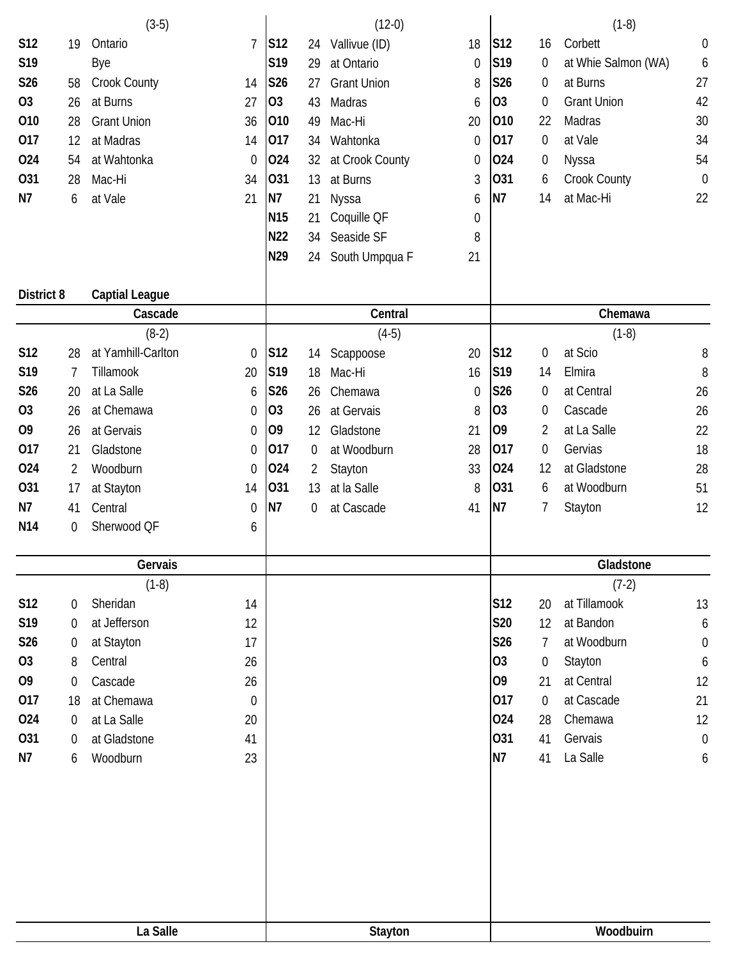|                   |                | $(3-5)$               |                  |                 |                | $(12-0)$           |                  |                |                  | $(1-8)$             |                  |
|-------------------|----------------|-----------------------|------------------|-----------------|----------------|--------------------|------------------|----------------|------------------|---------------------|------------------|
| <b>S12</b>        | 19             | Ontario               | $\overline{1}$   | S12             | 24             | Vallivue (ID)      | 18               | S12            | 16               | Corbett             | $\boldsymbol{0}$ |
| S19               |                | Bye                   |                  | S19             | 29             | at Ontario         | $\mathbf 0$      | S19            | 0                | at Whie Salmon (WA) | 6                |
| S26               | 58             | <b>Crook County</b>   | 14               | S26             | 27             | <b>Grant Union</b> | 8                | S26            | 0                | at Burns            | 27               |
| O <sub>3</sub>    | 26             | at Burns              | 27               | 03              | 43             | Madras             | 6                | 03             | $\boldsymbol{0}$ | <b>Grant Union</b>  | 42               |
| 010               | 28             | <b>Grant Union</b>    | 36               | 010             | 49             | Mac-Hi             | 20               | 010            | 22               | Madras              | 30               |
| 017               | 12             | at Madras             | 14               | 017             | 34             | Wahtonka           | $\theta$         | 017            | 0                | at Vale             | 34               |
| 024               | 54             | at Wahtonka           |                  | 024             |                |                    | $\theta$         | 024            |                  |                     | 54               |
|                   |                |                       | 0                |                 | 32             | at Crook County    |                  |                | $\boldsymbol{0}$ | Nyssa               |                  |
| 031               | 28             | Mac-Hi                | 34               | 031             | 13             | at Burns           | 3                | 031            | 6                | Crook County        | $\boldsymbol{0}$ |
| N7                | 6              | at Vale               | 21               | N7              | 21             | Nyssa              | 6                | N7             | 14               | at Mac-Hi           | 22               |
|                   |                |                       |                  | N <sub>15</sub> | 21             | Coquille QF        | $\boldsymbol{0}$ |                |                  |                     |                  |
|                   |                |                       |                  | <b>N22</b>      | 34             | Seaside SF         | 8                |                |                  |                     |                  |
|                   |                |                       |                  | N29             | 24             | South Umpqua F     | 21               |                |                  |                     |                  |
| <b>District 8</b> |                | <b>Captial League</b> |                  |                 |                |                    |                  |                |                  |                     |                  |
|                   |                | Cascade               |                  |                 |                | Central            |                  |                |                  | Chemawa             |                  |
|                   |                | $(8-2)$               |                  |                 |                | $(4-5)$            |                  |                |                  | $(1-8)$             |                  |
| <b>S12</b>        | 28             | at Yamhill-Carlton    | 0                | S12             | 14             | Scappoose          | 20               | S12            | 0                | at Scio             | 8                |
| S <sub>19</sub>   | 7              | Tillamook             | 20               | S19             | 18             | Mac-Hi             | 16               | S19            | 14               | Elmira              | 8                |
| S26               | 20             | at La Salle           | 6                | S26             | 26             | Chemawa            | $\mathbf 0$      | S26            | 0                | at Central          | 26               |
| O <sub>3</sub>    | 26             | at Chemawa            | 0                | 03              | 26             | at Gervais         | 8                | <b>O3</b>      | 0                | Cascade             | 26               |
| O <sub>9</sub>    | 26             | at Gervais            | $\mathbf 0$      | O <sub>9</sub>  | 12             | Gladstone          | 21               | O <sub>9</sub> | 2                | at La Salle         | 22               |
| 017               | 21             | Gladstone             | $\mathbf 0$      | 017             | $\mathbf 0$    | at Woodburn        | 28               | 017            | 0                | Gervias             | 18               |
| 024               | $\overline{2}$ | Woodburn              | 0                | 024             | $\overline{2}$ | Stayton            | 33               | 024            | 12               | at Gladstone        | 28               |
| 031               | 17             | at Stayton            | 14               | 031             | 13             | at la Salle        | 8                | 031            | 6                | at Woodburn         | 51               |
| N7                |                |                       |                  | <b>N7</b>       |                |                    |                  | N7             |                  |                     |                  |
|                   | 41             | Central               | $\boldsymbol{0}$ |                 | 0              | at Cascade         | 41               |                | 7                | Stayton             | 12               |
| N <sub>14</sub>   | 0              | Sherwood QF           | 6                |                 |                |                    |                  |                |                  |                     |                  |
|                   |                | Gervais               |                  |                 |                |                    |                  |                |                  | Gladstone           |                  |
|                   |                | $(1-8)$               |                  |                 |                |                    |                  |                |                  | $(7-2)$             |                  |
| S12               | 0              | Sheridan              | 14               |                 |                |                    |                  | S12            | 20               | at Tillamook        | 13               |
| S19               | 0              | at Jefferson          | 12               |                 |                |                    |                  | <b>S20</b>     | 12               | at Bandon           | 6                |
| S26               | 0              | at Stayton            | 17               |                 |                |                    |                  | <b>S26</b>     | $\overline{7}$   | at Woodburn         | 0                |
| 03                | 8              | Central               | 26               |                 |                |                    |                  | O <sub>3</sub> | 0                | Stayton             | 6                |
| O <sub>9</sub>    | 0              | Cascade               | 26               |                 |                |                    |                  | O <sub>9</sub> | 21               | at Central          | 12               |
| 017               | 18             | at Chemawa            | $\theta$         |                 |                |                    |                  | 017            | $\mathbf 0$      | at Cascade          | 21               |
|                   |                |                       |                  |                 |                |                    |                  |                |                  |                     |                  |
| 024               | 0              | at La Salle           | 20               |                 |                |                    |                  | 024            | 28               | Chemawa             | 12               |
| 031               | 0              | at Gladstone          | 41               |                 |                |                    |                  | 031            | 41               | Gervais             | $\boldsymbol{0}$ |
| N7                | 6              | Woodburn              | 23               |                 |                |                    |                  | <b>N7</b>      | 41               | La Salle            | 6                |
|                   |                |                       |                  |                 |                |                    |                  |                |                  |                     |                  |
|                   |                | La Salle              |                  |                 |                | Stayton            |                  |                |                  | Woodbuirn           |                  |